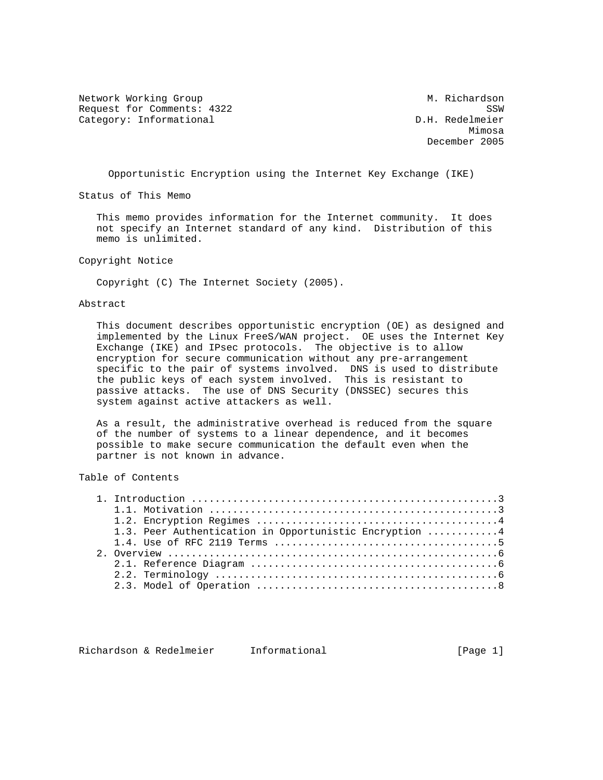Network Working Group Metwork Muslim Channel Metwork Muslim Muslim Muslim Muslim Muslim Muslim Muslim Muslim Mu Request for Comments: 4322<br>Category: Informational Category: Informational D.H. Redelmeier Category: Informational

man and the contract of the contract of the contract of the contract of the contract of the contract of the contract of the contract of the contract of the contract of the contract of the contract of the contract of the co December 2005

Opportunistic Encryption using the Internet Key Exchange (IKE)

Status of This Memo

 This memo provides information for the Internet community. It does not specify an Internet standard of any kind. Distribution of this memo is unlimited.

Copyright Notice

Copyright (C) The Internet Society (2005).

## Abstract

 This document describes opportunistic encryption (OE) as designed and implemented by the Linux FreeS/WAN project. OE uses the Internet Key Exchange (IKE) and IPsec protocols. The objective is to allow encryption for secure communication without any pre-arrangement specific to the pair of systems involved. DNS is used to distribute the public keys of each system involved. This is resistant to passive attacks. The use of DNS Security (DNSSEC) secures this system against active attackers as well.

 As a result, the administrative overhead is reduced from the square of the number of systems to a linear dependence, and it becomes possible to make secure communication the default even when the partner is not known in advance.

Table of Contents

|  | 1.3. Peer Authentication in Opportunistic Encryption 4 |
|--|--------------------------------------------------------|
|  |                                                        |
|  |                                                        |
|  |                                                        |
|  |                                                        |
|  |                                                        |
|  |                                                        |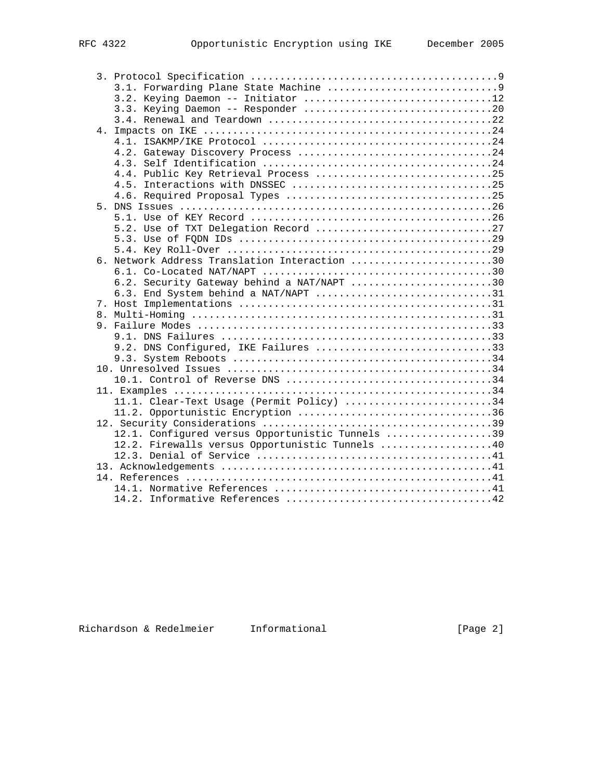|  | 3.2. Keying Daemon -- Initiator 12               |
|--|--------------------------------------------------|
|  |                                                  |
|  |                                                  |
|  |                                                  |
|  |                                                  |
|  |                                                  |
|  |                                                  |
|  | 4.4. Public Key Retrieval Process 25             |
|  |                                                  |
|  |                                                  |
|  |                                                  |
|  |                                                  |
|  | 5.2. Use of TXT Delegation Record 27             |
|  |                                                  |
|  |                                                  |
|  | 6. Network Address Translation Interaction 30    |
|  |                                                  |
|  | 6.2. Security Gateway behind a NAT/NAPT 30       |
|  | 6.3. End System behind a NAT/NAPT 31             |
|  |                                                  |
|  |                                                  |
|  |                                                  |
|  |                                                  |
|  | 9.2. DNS Configured, IKE Failures 33             |
|  |                                                  |
|  |                                                  |
|  |                                                  |
|  |                                                  |
|  | 11.1. Clear-Text Usage (Permit Policy) 34        |
|  |                                                  |
|  |                                                  |
|  | 12.1. Configured versus Opportunistic Tunnels 39 |
|  | 12.2. Firewalls versus Opportunistic Tunnels 40  |
|  |                                                  |
|  |                                                  |
|  |                                                  |
|  |                                                  |
|  |                                                  |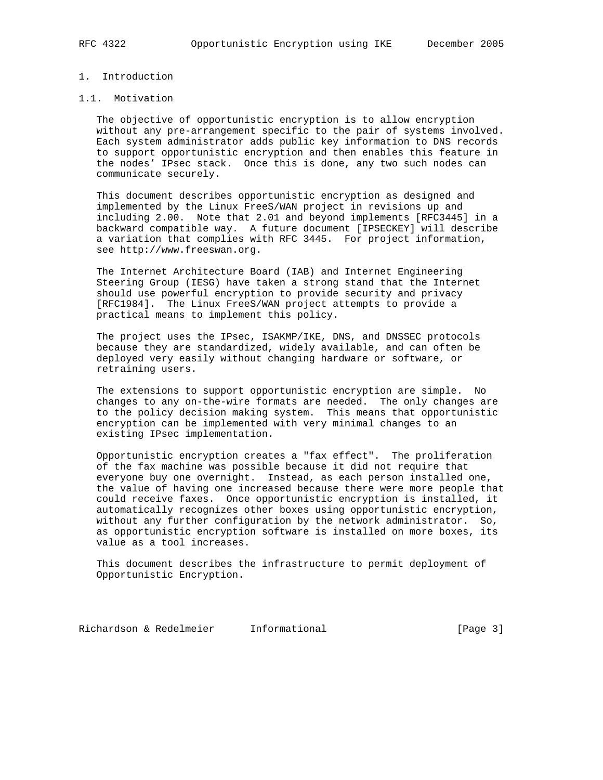# 1. Introduction

## 1.1. Motivation

 The objective of opportunistic encryption is to allow encryption without any pre-arrangement specific to the pair of systems involved. Each system administrator adds public key information to DNS records to support opportunistic encryption and then enables this feature in the nodes' IPsec stack. Once this is done, any two such nodes can communicate securely.

 This document describes opportunistic encryption as designed and implemented by the Linux FreeS/WAN project in revisions up and including 2.00. Note that 2.01 and beyond implements [RFC3445] in a backward compatible way. A future document [IPSECKEY] will describe a variation that complies with RFC 3445. For project information, see http://www.freeswan.org.

 The Internet Architecture Board (IAB) and Internet Engineering Steering Group (IESG) have taken a strong stand that the Internet should use powerful encryption to provide security and privacy [RFC1984]. The Linux FreeS/WAN project attempts to provide a practical means to implement this policy.

 The project uses the IPsec, ISAKMP/IKE, DNS, and DNSSEC protocols because they are standardized, widely available, and can often be deployed very easily without changing hardware or software, or retraining users.

 The extensions to support opportunistic encryption are simple. No changes to any on-the-wire formats are needed. The only changes are to the policy decision making system. This means that opportunistic encryption can be implemented with very minimal changes to an existing IPsec implementation.

 Opportunistic encryption creates a "fax effect". The proliferation of the fax machine was possible because it did not require that everyone buy one overnight. Instead, as each person installed one, the value of having one increased because there were more people that could receive faxes. Once opportunistic encryption is installed, it automatically recognizes other boxes using opportunistic encryption, without any further configuration by the network administrator. So, as opportunistic encryption software is installed on more boxes, its value as a tool increases.

 This document describes the infrastructure to permit deployment of Opportunistic Encryption.

Richardson & Redelmeier Informational [Page 3]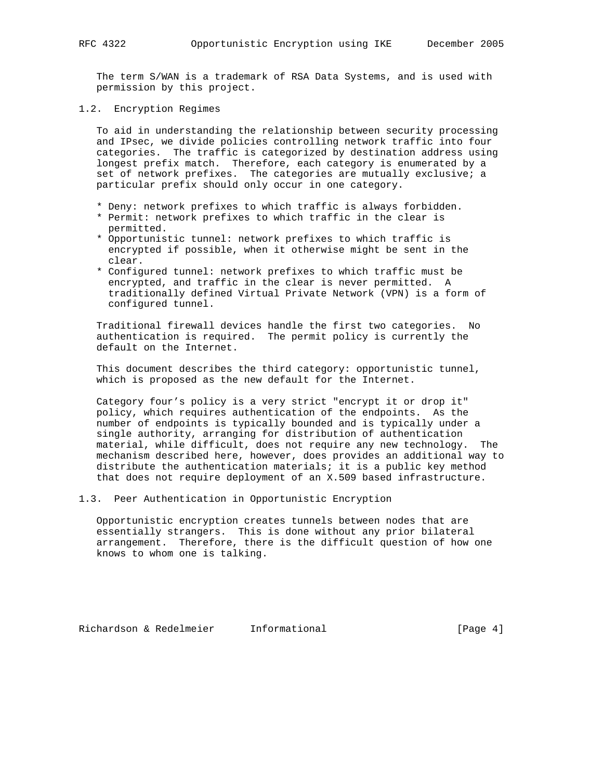The term S/WAN is a trademark of RSA Data Systems, and is used with permission by this project.

1.2. Encryption Regimes

 To aid in understanding the relationship between security processing and IPsec, we divide policies controlling network traffic into four categories. The traffic is categorized by destination address using longest prefix match. Therefore, each category is enumerated by a set of network prefixes. The categories are mutually exclusive; a particular prefix should only occur in one category.

- \* Deny: network prefixes to which traffic is always forbidden.
- \* Permit: network prefixes to which traffic in the clear is permitted.
- \* Opportunistic tunnel: network prefixes to which traffic is encrypted if possible, when it otherwise might be sent in the clear.
- \* Configured tunnel: network prefixes to which traffic must be encrypted, and traffic in the clear is never permitted. A traditionally defined Virtual Private Network (VPN) is a form of configured tunnel.

 Traditional firewall devices handle the first two categories. No authentication is required. The permit policy is currently the default on the Internet.

 This document describes the third category: opportunistic tunnel, which is proposed as the new default for the Internet.

 Category four's policy is a very strict "encrypt it or drop it" policy, which requires authentication of the endpoints. As the number of endpoints is typically bounded and is typically under a single authority, arranging for distribution of authentication material, while difficult, does not require any new technology. The mechanism described here, however, does provides an additional way to distribute the authentication materials; it is a public key method that does not require deployment of an X.509 based infrastructure.

1.3. Peer Authentication in Opportunistic Encryption

 Opportunistic encryption creates tunnels between nodes that are essentially strangers. This is done without any prior bilateral arrangement. Therefore, there is the difficult question of how one knows to whom one is talking.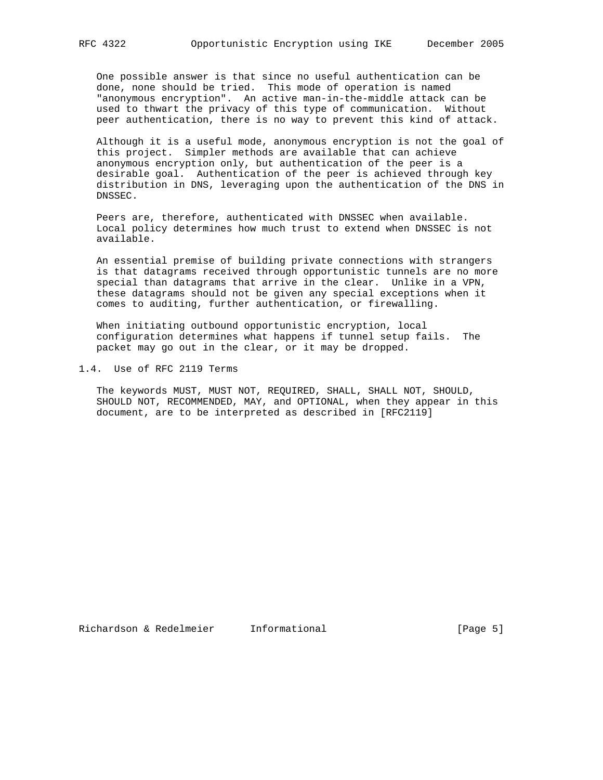One possible answer is that since no useful authentication can be done, none should be tried. This mode of operation is named "anonymous encryption". An active man-in-the-middle attack can be used to thwart the privacy of this type of communication. Without peer authentication, there is no way to prevent this kind of attack.

 Although it is a useful mode, anonymous encryption is not the goal of this project. Simpler methods are available that can achieve anonymous encryption only, but authentication of the peer is a desirable goal. Authentication of the peer is achieved through key distribution in DNS, leveraging upon the authentication of the DNS in DNSSEC.

 Peers are, therefore, authenticated with DNSSEC when available. Local policy determines how much trust to extend when DNSSEC is not available.

 An essential premise of building private connections with strangers is that datagrams received through opportunistic tunnels are no more special than datagrams that arrive in the clear. Unlike in a VPN, these datagrams should not be given any special exceptions when it comes to auditing, further authentication, or firewalling.

 When initiating outbound opportunistic encryption, local configuration determines what happens if tunnel setup fails. The packet may go out in the clear, or it may be dropped.

1.4. Use of RFC 2119 Terms

 The keywords MUST, MUST NOT, REQUIRED, SHALL, SHALL NOT, SHOULD, SHOULD NOT, RECOMMENDED, MAY, and OPTIONAL, when they appear in this document, are to be interpreted as described in [RFC2119]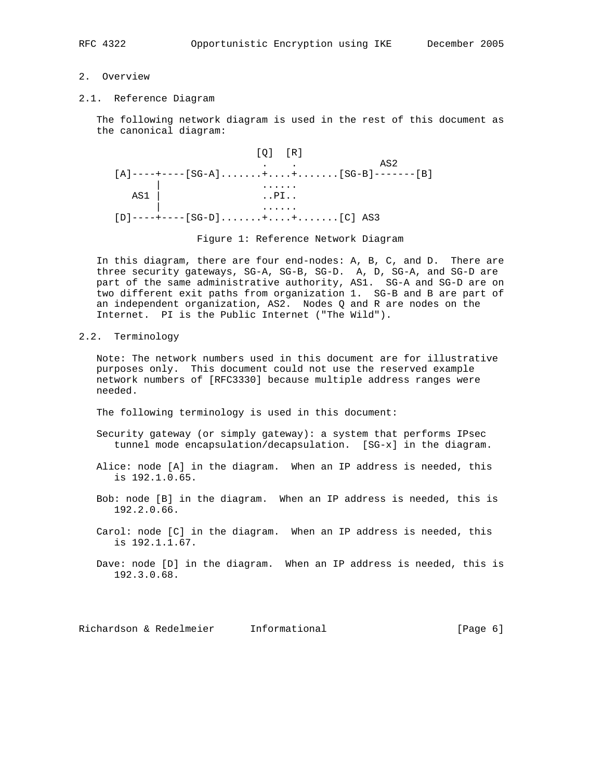# 2. Overview

2.1. Reference Diagram

 The following network diagram is used in the rest of this document as the canonical diagram:

 [Q] [R] . . AS2  $[A]$ ----+----[SG-A]......+....+.......[SG-B]-------[B] | ......  $\overline{AS1}$  | ...  $\overline{PI}$ ... | ...... [D]----+----[SG-D].......+....+.......[C] AS3

Figure 1: Reference Network Diagram

 In this diagram, there are four end-nodes: A, B, C, and D. There are three security gateways, SG-A, SG-B, SG-D. A, D, SG-A, and SG-D are part of the same administrative authority, AS1. SG-A and SG-D are on two different exit paths from organization 1. SG-B and B are part of an independent organization, AS2. Nodes Q and R are nodes on the Internet. PI is the Public Internet ("The Wild").

2.2. Terminology

 Note: The network numbers used in this document are for illustrative purposes only. This document could not use the reserved example network numbers of [RFC3330] because multiple address ranges were needed.

The following terminology is used in this document:

- Security gateway (or simply gateway): a system that performs IPsec tunnel mode encapsulation/decapsulation. [SG-x] in the diagram.
- Alice: node [A] in the diagram. When an IP address is needed, this is 192.1.0.65.
- Bob: node [B] in the diagram. When an IP address is needed, this is 192.2.0.66.
- Carol: node [C] in the diagram. When an IP address is needed, this is 192.1.1.67.

Dave: node [D] in the diagram. When an IP address is needed, this is 192.3.0.68.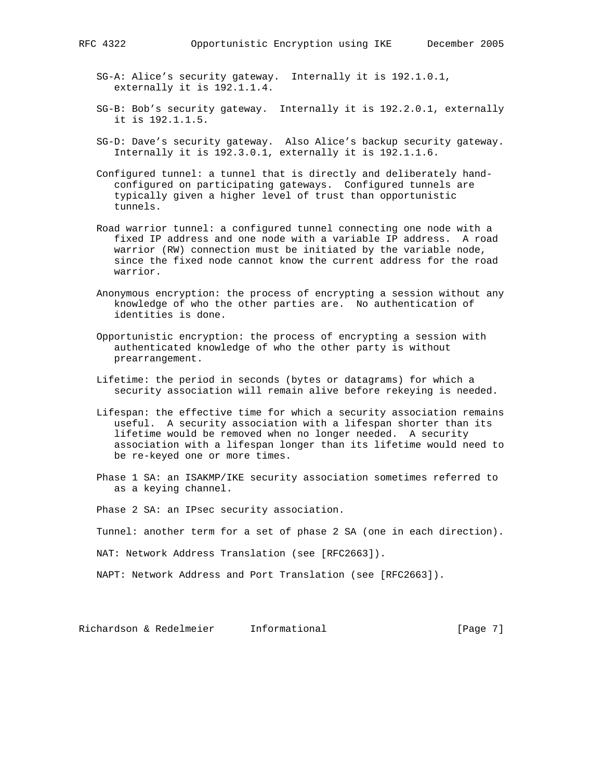- 
- SG-A: Alice's security gateway. Internally it is 192.1.0.1, externally it is 192.1.1.4.
- SG-B: Bob's security gateway. Internally it is 192.2.0.1, externally it is 192.1.1.5.
- SG-D: Dave's security gateway. Also Alice's backup security gateway. Internally it is 192.3.0.1, externally it is 192.1.1.6.
- Configured tunnel: a tunnel that is directly and deliberately hand configured on participating gateways. Configured tunnels are typically given a higher level of trust than opportunistic tunnels.
- Road warrior tunnel: a configured tunnel connecting one node with a fixed IP address and one node with a variable IP address. A road warrior (RW) connection must be initiated by the variable node, since the fixed node cannot know the current address for the road warrior.
- Anonymous encryption: the process of encrypting a session without any knowledge of who the other parties are. No authentication of identities is done.
- Opportunistic encryption: the process of encrypting a session with authenticated knowledge of who the other party is without prearrangement.
- Lifetime: the period in seconds (bytes or datagrams) for which a security association will remain alive before rekeying is needed.
- Lifespan: the effective time for which a security association remains useful. A security association with a lifespan shorter than its lifetime would be removed when no longer needed. A security association with a lifespan longer than its lifetime would need to be re-keyed one or more times.
- Phase 1 SA: an ISAKMP/IKE security association sometimes referred to as a keying channel.

Phase 2 SA: an IPsec security association.

Tunnel: another term for a set of phase 2 SA (one in each direction).

NAT: Network Address Translation (see [RFC2663]).

NAPT: Network Address and Port Translation (see [RFC2663]).

Richardson & Redelmeier Informational (Page 7)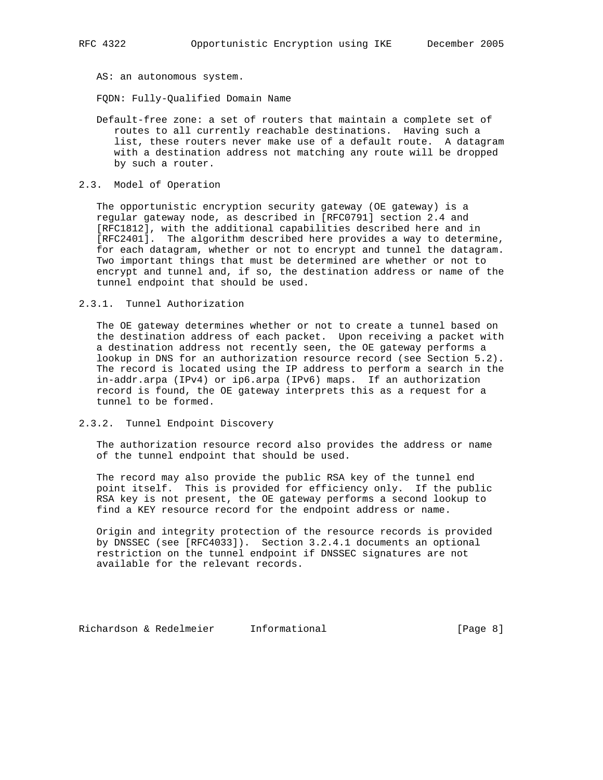AS: an autonomous system.

FQDN: Fully-Qualified Domain Name

- Default-free zone: a set of routers that maintain a complete set of routes to all currently reachable destinations. Having such a list, these routers never make use of a default route. A datagram with a destination address not matching any route will be dropped by such a router.
- 2.3. Model of Operation

 The opportunistic encryption security gateway (OE gateway) is a regular gateway node, as described in [RFC0791] section 2.4 and [RFC1812], with the additional capabilities described here and in [RFC2401]. The algorithm described here provides a way to determine, for each datagram, whether or not to encrypt and tunnel the datagram. Two important things that must be determined are whether or not to encrypt and tunnel and, if so, the destination address or name of the tunnel endpoint that should be used.

2.3.1. Tunnel Authorization

 The OE gateway determines whether or not to create a tunnel based on the destination address of each packet. Upon receiving a packet with a destination address not recently seen, the OE gateway performs a lookup in DNS for an authorization resource record (see Section 5.2). The record is located using the IP address to perform a search in the in-addr.arpa (IPv4) or ip6.arpa (IPv6) maps. If an authorization record is found, the OE gateway interprets this as a request for a tunnel to be formed.

2.3.2. Tunnel Endpoint Discovery

 The authorization resource record also provides the address or name of the tunnel endpoint that should be used.

 The record may also provide the public RSA key of the tunnel end point itself. This is provided for efficiency only. If the public RSA key is not present, the OE gateway performs a second lookup to find a KEY resource record for the endpoint address or name.

 Origin and integrity protection of the resource records is provided by DNSSEC (see [RFC4033]). Section 3.2.4.1 documents an optional restriction on the tunnel endpoint if DNSSEC signatures are not available for the relevant records.

Richardson & Redelmeier Informational (Page 8)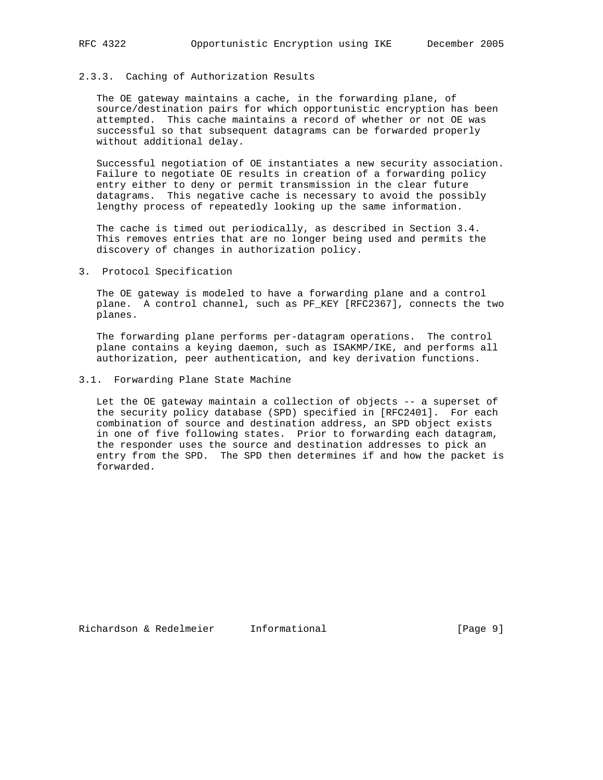## 2.3.3. Caching of Authorization Results

 The OE gateway maintains a cache, in the forwarding plane, of source/destination pairs for which opportunistic encryption has been attempted. This cache maintains a record of whether or not OE was successful so that subsequent datagrams can be forwarded properly without additional delay.

 Successful negotiation of OE instantiates a new security association. Failure to negotiate OE results in creation of a forwarding policy entry either to deny or permit transmission in the clear future datagrams. This negative cache is necessary to avoid the possibly lengthy process of repeatedly looking up the same information.

 The cache is timed out periodically, as described in Section 3.4. This removes entries that are no longer being used and permits the discovery of changes in authorization policy.

3. Protocol Specification

 The OE gateway is modeled to have a forwarding plane and a control plane. A control channel, such as PF\_KEY [RFC2367], connects the two planes.

 The forwarding plane performs per-datagram operations. The control plane contains a keying daemon, such as ISAKMP/IKE, and performs all authorization, peer authentication, and key derivation functions.

#### 3.1. Forwarding Plane State Machine

 Let the OE gateway maintain a collection of objects -- a superset of the security policy database (SPD) specified in [RFC2401]. For each combination of source and destination address, an SPD object exists in one of five following states. Prior to forwarding each datagram, the responder uses the source and destination addresses to pick an entry from the SPD. The SPD then determines if and how the packet is forwarded.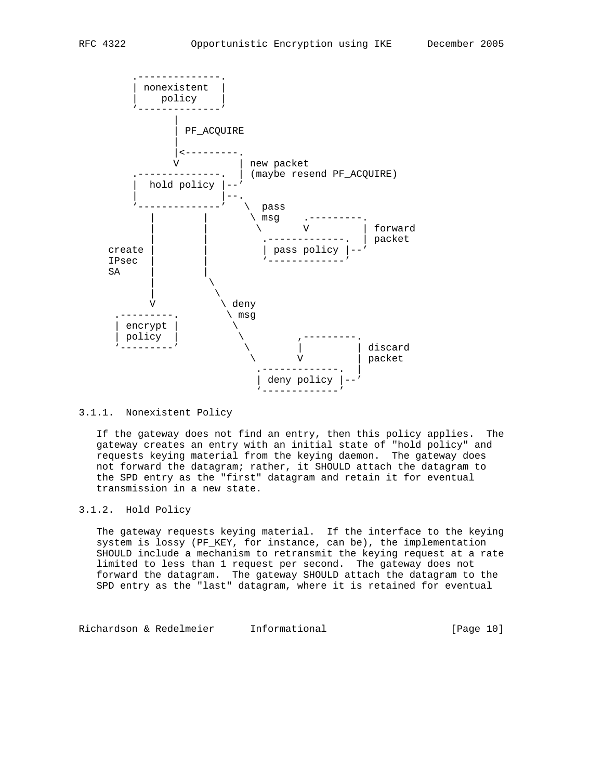

## 3.1.1. Nonexistent Policy

 If the gateway does not find an entry, then this policy applies. The gateway creates an entry with an initial state of "hold policy" and requests keying material from the keying daemon. The gateway does not forward the datagram; rather, it SHOULD attach the datagram to the SPD entry as the "first" datagram and retain it for eventual transmission in a new state.

# 3.1.2. Hold Policy

 The gateway requests keying material. If the interface to the keying system is lossy (PF\_KEY, for instance, can be), the implementation SHOULD include a mechanism to retransmit the keying request at a rate limited to less than 1 request per second. The gateway does not forward the datagram. The gateway SHOULD attach the datagram to the SPD entry as the "last" datagram, where it is retained for eventual

Richardson & Redelmeier Informational [Page 10]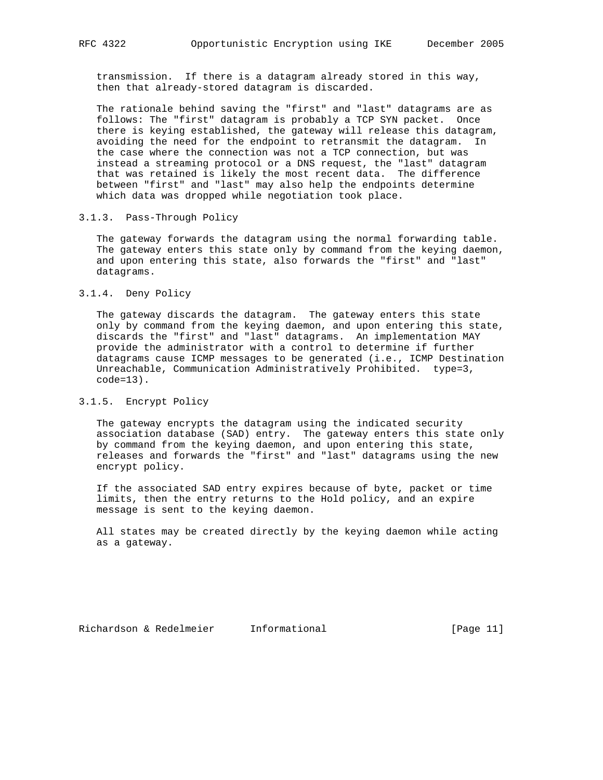transmission. If there is a datagram already stored in this way, then that already-stored datagram is discarded.

 The rationale behind saving the "first" and "last" datagrams are as follows: The "first" datagram is probably a TCP SYN packet. Once there is keying established, the gateway will release this datagram, avoiding the need for the endpoint to retransmit the datagram. In the case where the connection was not a TCP connection, but was instead a streaming protocol or a DNS request, the "last" datagram that was retained is likely the most recent data. The difference between "first" and "last" may also help the endpoints determine which data was dropped while negotiation took place.

## 3.1.3. Pass-Through Policy

 The gateway forwards the datagram using the normal forwarding table. The gateway enters this state only by command from the keying daemon, and upon entering this state, also forwards the "first" and "last" datagrams.

## 3.1.4. Deny Policy

 The gateway discards the datagram. The gateway enters this state only by command from the keying daemon, and upon entering this state, discards the "first" and "last" datagrams. An implementation MAY provide the administrator with a control to determine if further datagrams cause ICMP messages to be generated (i.e., ICMP Destination Unreachable, Communication Administratively Prohibited. type=3, code=13).

## 3.1.5. Encrypt Policy

 The gateway encrypts the datagram using the indicated security association database (SAD) entry. The gateway enters this state only by command from the keying daemon, and upon entering this state, releases and forwards the "first" and "last" datagrams using the new encrypt policy.

 If the associated SAD entry expires because of byte, packet or time limits, then the entry returns to the Hold policy, and an expire message is sent to the keying daemon.

 All states may be created directly by the keying daemon while acting as a gateway.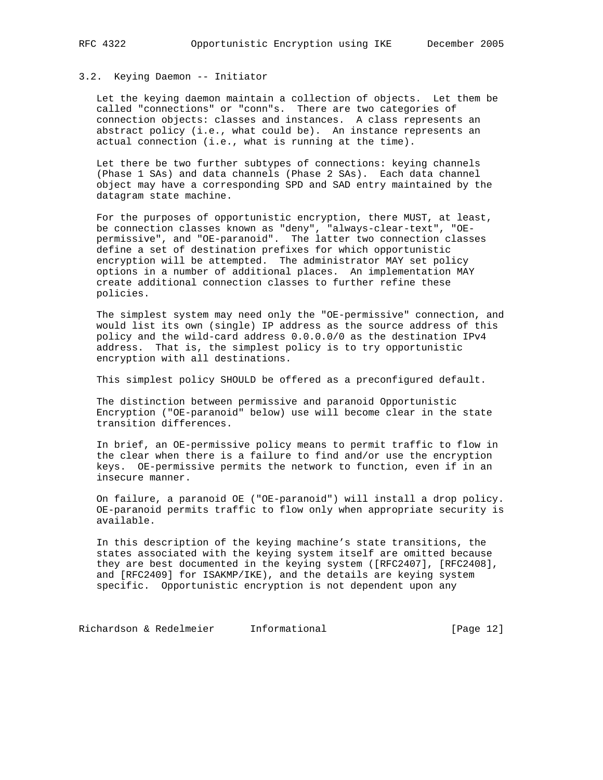## 3.2. Keying Daemon -- Initiator

 Let the keying daemon maintain a collection of objects. Let them be called "connections" or "conn"s. There are two categories of connection objects: classes and instances. A class represents an abstract policy (i.e., what could be). An instance represents an actual connection (i.e., what is running at the time).

 Let there be two further subtypes of connections: keying channels (Phase 1 SAs) and data channels (Phase 2 SAs). Each data channel object may have a corresponding SPD and SAD entry maintained by the datagram state machine.

 For the purposes of opportunistic encryption, there MUST, at least, be connection classes known as "deny", "always-clear-text", "OE permissive", and "OE-paranoid". The latter two connection classes define a set of destination prefixes for which opportunistic encryption will be attempted. The administrator MAY set policy options in a number of additional places. An implementation MAY create additional connection classes to further refine these policies.

 The simplest system may need only the "OE-permissive" connection, and would list its own (single) IP address as the source address of this policy and the wild-card address 0.0.0.0/0 as the destination IPv4 address. That is, the simplest policy is to try opportunistic encryption with all destinations.

This simplest policy SHOULD be offered as a preconfigured default.

 The distinction between permissive and paranoid Opportunistic Encryption ("OE-paranoid" below) use will become clear in the state transition differences.

 In brief, an OE-permissive policy means to permit traffic to flow in the clear when there is a failure to find and/or use the encryption keys. OE-permissive permits the network to function, even if in an insecure manner.

 On failure, a paranoid OE ("OE-paranoid") will install a drop policy. OE-paranoid permits traffic to flow only when appropriate security is available.

 In this description of the keying machine's state transitions, the states associated with the keying system itself are omitted because they are best documented in the keying system ([RFC2407], [RFC2408], and [RFC2409] for ISAKMP/IKE), and the details are keying system specific. Opportunistic encryption is not dependent upon any

Richardson & Redelmeier Informational (Page 12)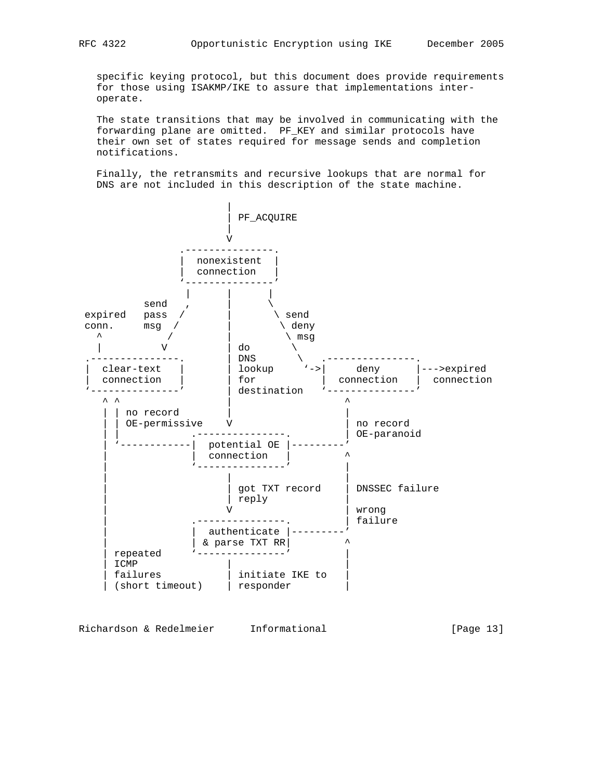specific keying protocol, but this document does provide requirements for those using ISAKMP/IKE to assure that implementations inter operate.

 The state transitions that may be involved in communicating with the forwarding plane are omitted. PF\_KEY and similar protocols have their own set of states required for message sends and completion notifications.

 Finally, the retransmits and recursive lookups that are normal for DNS are not included in this description of the state machine.



Richardson & Redelmeier Informational (Page 13)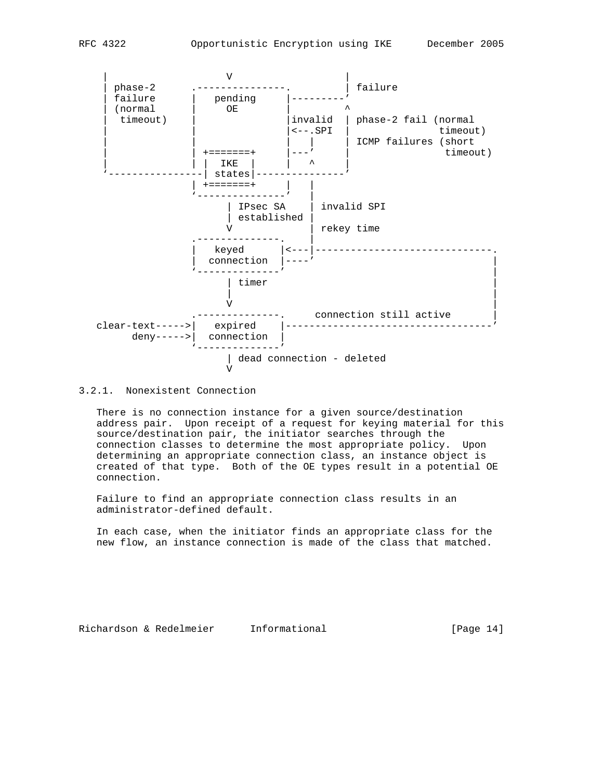

3.2.1. Nonexistent Connection

V

 There is no connection instance for a given source/destination address pair. Upon receipt of a request for keying material for this source/destination pair, the initiator searches through the connection classes to determine the most appropriate policy. Upon determining an appropriate connection class, an instance object is created of that type. Both of the OE types result in a potential OE connection.

 Failure to find an appropriate connection class results in an administrator-defined default.

 In each case, when the initiator finds an appropriate class for the new flow, an instance connection is made of the class that matched.

Richardson & Redelmeier Informational [Page 14]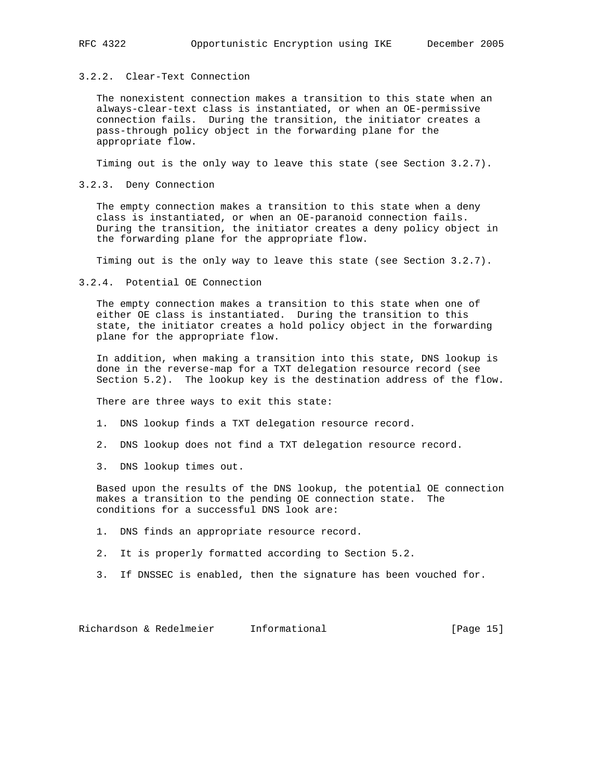## 3.2.2. Clear-Text Connection

 The nonexistent connection makes a transition to this state when an always-clear-text class is instantiated, or when an OE-permissive connection fails. During the transition, the initiator creates a pass-through policy object in the forwarding plane for the appropriate flow.

Timing out is the only way to leave this state (see Section 3.2.7).

3.2.3. Deny Connection

 The empty connection makes a transition to this state when a deny class is instantiated, or when an OE-paranoid connection fails. During the transition, the initiator creates a deny policy object in the forwarding plane for the appropriate flow.

Timing out is the only way to leave this state (see Section 3.2.7).

3.2.4. Potential OE Connection

 The empty connection makes a transition to this state when one of either OE class is instantiated. During the transition to this state, the initiator creates a hold policy object in the forwarding plane for the appropriate flow.

 In addition, when making a transition into this state, DNS lookup is done in the reverse-map for a TXT delegation resource record (see Section 5.2). The lookup key is the destination address of the flow.

There are three ways to exit this state:

1. DNS lookup finds a TXT delegation resource record.

- 2. DNS lookup does not find a TXT delegation resource record.
- 3. DNS lookup times out.

 Based upon the results of the DNS lookup, the potential OE connection makes a transition to the pending OE connection state. The conditions for a successful DNS look are:

- 1. DNS finds an appropriate resource record.
- 2. It is properly formatted according to Section 5.2.
- 3. If DNSSEC is enabled, then the signature has been vouched for.

Richardson & Redelmeier Informational [Page 15]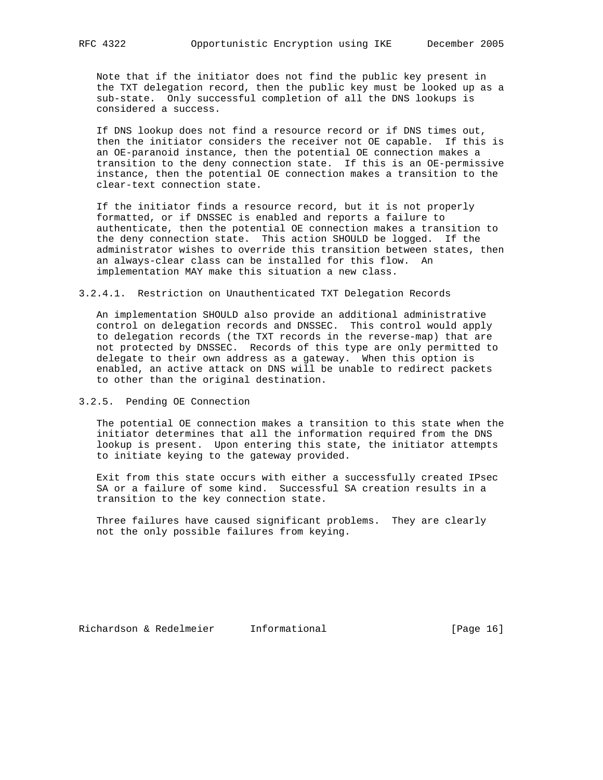Note that if the initiator does not find the public key present in the TXT delegation record, then the public key must be looked up as a sub-state. Only successful completion of all the DNS lookups is considered a success.

 If DNS lookup does not find a resource record or if DNS times out, then the initiator considers the receiver not OE capable. If this is an OE-paranoid instance, then the potential OE connection makes a transition to the deny connection state. If this is an OE-permissive instance, then the potential OE connection makes a transition to the clear-text connection state.

 If the initiator finds a resource record, but it is not properly formatted, or if DNSSEC is enabled and reports a failure to authenticate, then the potential OE connection makes a transition to the deny connection state. This action SHOULD be logged. If the administrator wishes to override this transition between states, then an always-clear class can be installed for this flow. An implementation MAY make this situation a new class.

3.2.4.1. Restriction on Unauthenticated TXT Delegation Records

 An implementation SHOULD also provide an additional administrative control on delegation records and DNSSEC. This control would apply to delegation records (the TXT records in the reverse-map) that are not protected by DNSSEC. Records of this type are only permitted to delegate to their own address as a gateway. When this option is enabled, an active attack on DNS will be unable to redirect packets to other than the original destination.

3.2.5. Pending OE Connection

 The potential OE connection makes a transition to this state when the initiator determines that all the information required from the DNS lookup is present. Upon entering this state, the initiator attempts to initiate keying to the gateway provided.

 Exit from this state occurs with either a successfully created IPsec SA or a failure of some kind. Successful SA creation results in a transition to the key connection state.

 Three failures have caused significant problems. They are clearly not the only possible failures from keying.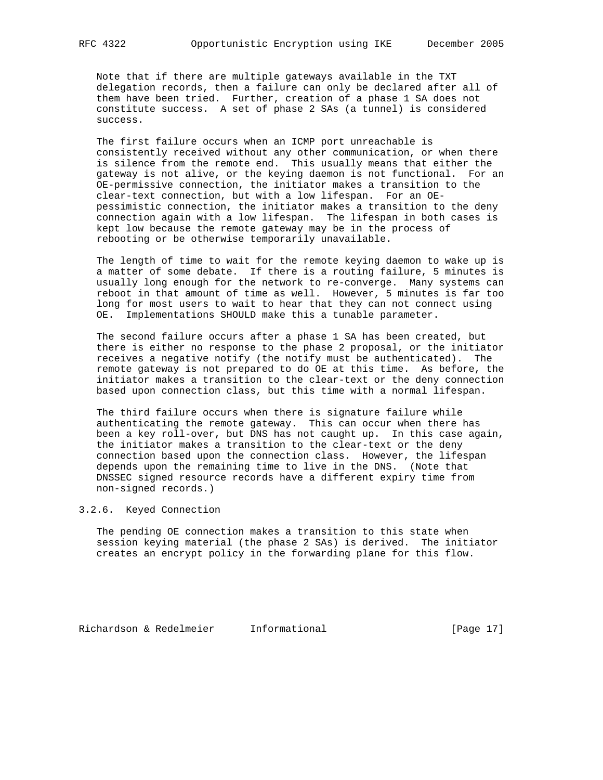Note that if there are multiple gateways available in the TXT delegation records, then a failure can only be declared after all of them have been tried. Further, creation of a phase 1 SA does not constitute success. A set of phase 2 SAs (a tunnel) is considered success.

 The first failure occurs when an ICMP port unreachable is consistently received without any other communication, or when there is silence from the remote end. This usually means that either the gateway is not alive, or the keying daemon is not functional. For an OE-permissive connection, the initiator makes a transition to the clear-text connection, but with a low lifespan. For an OE pessimistic connection, the initiator makes a transition to the deny connection again with a low lifespan. The lifespan in both cases is kept low because the remote gateway may be in the process of rebooting or be otherwise temporarily unavailable.

 The length of time to wait for the remote keying daemon to wake up is a matter of some debate. If there is a routing failure, 5 minutes is usually long enough for the network to re-converge. Many systems can reboot in that amount of time as well. However, 5 minutes is far too long for most users to wait to hear that they can not connect using OE. Implementations SHOULD make this a tunable parameter.

 The second failure occurs after a phase 1 SA has been created, but there is either no response to the phase 2 proposal, or the initiator receives a negative notify (the notify must be authenticated). The remote gateway is not prepared to do OE at this time. As before, the initiator makes a transition to the clear-text or the deny connection based upon connection class, but this time with a normal lifespan.

 The third failure occurs when there is signature failure while authenticating the remote gateway. This can occur when there has been a key roll-over, but DNS has not caught up. In this case again, the initiator makes a transition to the clear-text or the deny connection based upon the connection class. However, the lifespan depends upon the remaining time to live in the DNS. (Note that DNSSEC signed resource records have a different expiry time from non-signed records.)

## 3.2.6. Keyed Connection

 The pending OE connection makes a transition to this state when session keying material (the phase 2 SAs) is derived. The initiator creates an encrypt policy in the forwarding plane for this flow.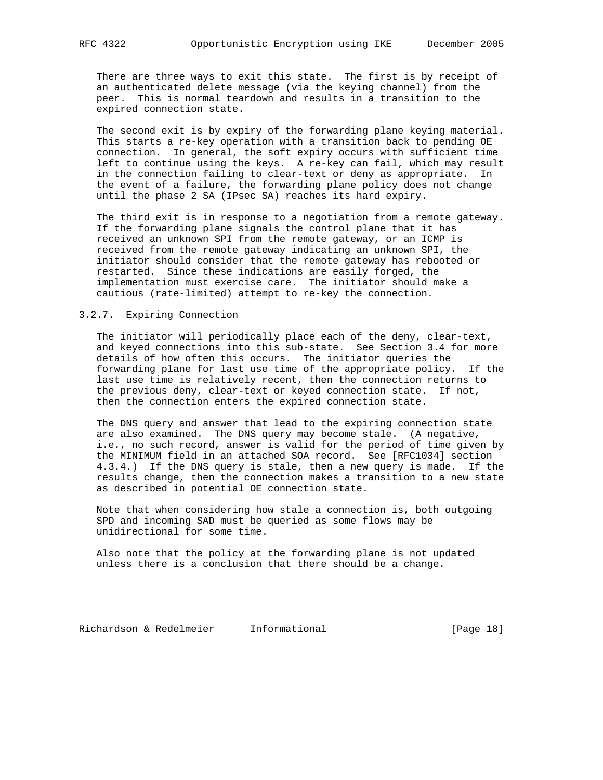There are three ways to exit this state. The first is by receipt of an authenticated delete message (via the keying channel) from the peer. This is normal teardown and results in a transition to the expired connection state.

 The second exit is by expiry of the forwarding plane keying material. This starts a re-key operation with a transition back to pending OE connection. In general, the soft expiry occurs with sufficient time left to continue using the keys. A re-key can fail, which may result in the connection failing to clear-text or deny as appropriate. In the event of a failure, the forwarding plane policy does not change until the phase 2 SA (IPsec SA) reaches its hard expiry.

 The third exit is in response to a negotiation from a remote gateway. If the forwarding plane signals the control plane that it has received an unknown SPI from the remote gateway, or an ICMP is received from the remote gateway indicating an unknown SPI, the initiator should consider that the remote gateway has rebooted or restarted. Since these indications are easily forged, the implementation must exercise care. The initiator should make a cautious (rate-limited) attempt to re-key the connection.

## 3.2.7. Expiring Connection

 The initiator will periodically place each of the deny, clear-text, and keyed connections into this sub-state. See Section 3.4 for more details of how often this occurs. The initiator queries the forwarding plane for last use time of the appropriate policy. If the last use time is relatively recent, then the connection returns to the previous deny, clear-text or keyed connection state. If not, then the connection enters the expired connection state.

 The DNS query and answer that lead to the expiring connection state are also examined. The DNS query may become stale. (A negative, i.e., no such record, answer is valid for the period of time given by the MINIMUM field in an attached SOA record. See [RFC1034] section 4.3.4.) If the DNS query is stale, then a new query is made. If the results change, then the connection makes a transition to a new state as described in potential OE connection state.

 Note that when considering how stale a connection is, both outgoing SPD and incoming SAD must be queried as some flows may be unidirectional for some time.

 Also note that the policy at the forwarding plane is not updated unless there is a conclusion that there should be a change.

Richardson & Redelmeier Informational [Page 18]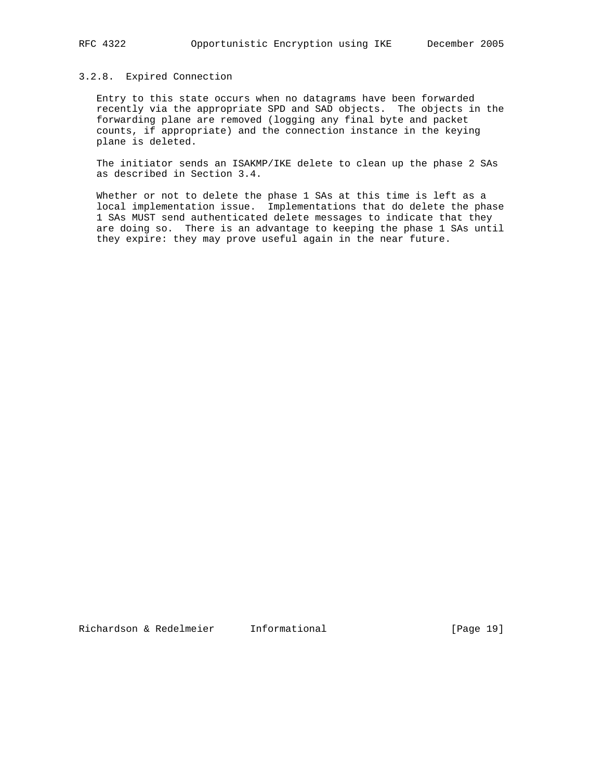## 3.2.8. Expired Connection

 Entry to this state occurs when no datagrams have been forwarded recently via the appropriate SPD and SAD objects. The objects in the forwarding plane are removed (logging any final byte and packet counts, if appropriate) and the connection instance in the keying plane is deleted.

 The initiator sends an ISAKMP/IKE delete to clean up the phase 2 SAs as described in Section 3.4.

 Whether or not to delete the phase 1 SAs at this time is left as a local implementation issue. Implementations that do delete the phase 1 SAs MUST send authenticated delete messages to indicate that they are doing so. There is an advantage to keeping the phase 1 SAs until they expire: they may prove useful again in the near future.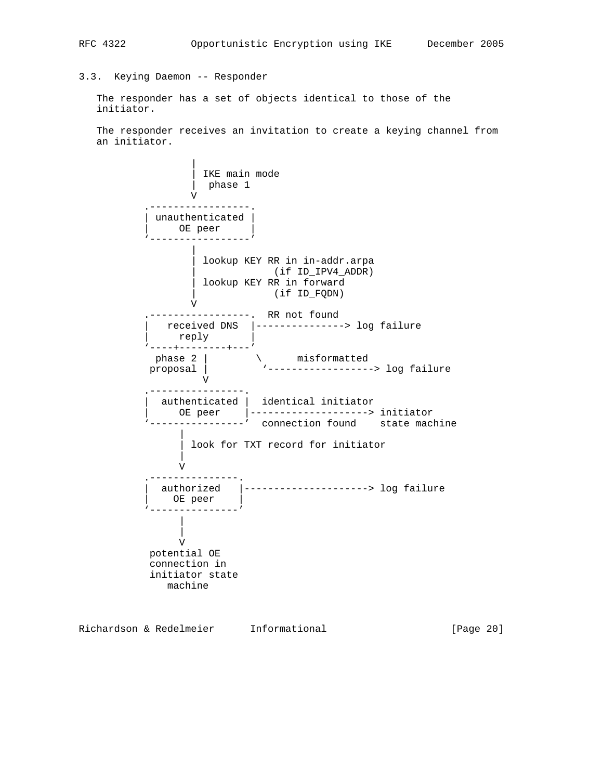# RFC 4322 Opportunistic Encryption using IKE December 2005

## 3.3. Keying Daemon -- Responder

 The responder has a set of objects identical to those of the initiator.

 The responder receives an invitation to create a keying channel from an initiator.

 | | IKE main mode | phase 1 V .-----------------. | unauthenticated | | OE peer | '-----------------' | | lookup KEY RR in in-addr.arpa | (if ID\_IPV4\_ADDR) | lookup KEY RR in forward | (if ID\_FQDN) V .-----------------. RR not found | received DNS |---------------> log failure | reply | '----+--------+---' phase 2 |  $\qquad \qquad$  misformatted proposal | '------------------> log failure V .----------------. authenticated | identical initiator | OE peer |--------------------> initiator -----------' connection found state machine | | look for TXT record for initiator | V .---------------. authorized |---------------------> log failure OE peer '---------------' | | V potential OE connection in initiator state machine

Richardson & Redelmeier Informational (Page 20)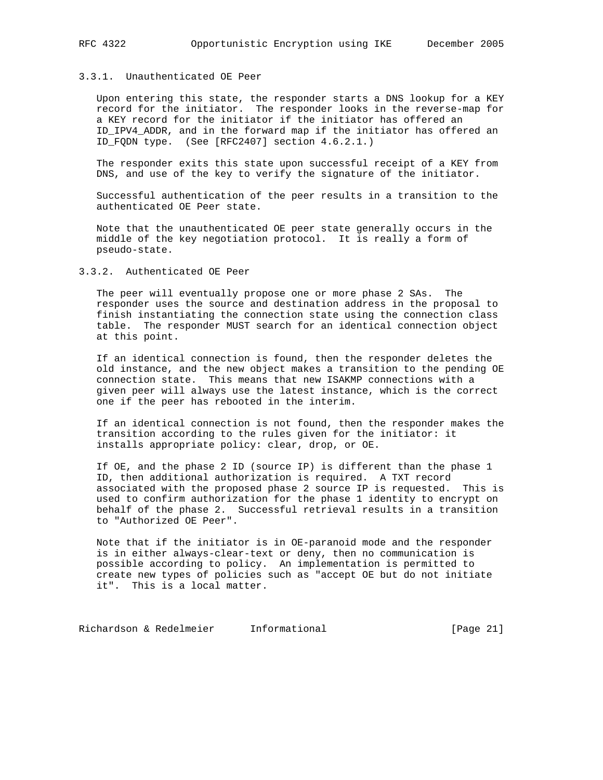## 3.3.1. Unauthenticated OE Peer

 Upon entering this state, the responder starts a DNS lookup for a KEY record for the initiator. The responder looks in the reverse-map for a KEY record for the initiator if the initiator has offered an ID\_IPV4\_ADDR, and in the forward map if the initiator has offered an ID\_FQDN type. (See [RFC2407] section 4.6.2.1.)

 The responder exits this state upon successful receipt of a KEY from DNS, and use of the key to verify the signature of the initiator.

 Successful authentication of the peer results in a transition to the authenticated OE Peer state.

 Note that the unauthenticated OE peer state generally occurs in the middle of the key negotiation protocol. It is really a form of pseudo-state.

3.3.2. Authenticated OE Peer

 The peer will eventually propose one or more phase 2 SAs. The responder uses the source and destination address in the proposal to finish instantiating the connection state using the connection class table. The responder MUST search for an identical connection object at this point.

 If an identical connection is found, then the responder deletes the old instance, and the new object makes a transition to the pending OE connection state. This means that new ISAKMP connections with a given peer will always use the latest instance, which is the correct one if the peer has rebooted in the interim.

 If an identical connection is not found, then the responder makes the transition according to the rules given for the initiator: it installs appropriate policy: clear, drop, or OE.

 If OE, and the phase 2 ID (source IP) is different than the phase 1 ID, then additional authorization is required. A TXT record associated with the proposed phase 2 source IP is requested. This is used to confirm authorization for the phase 1 identity to encrypt on behalf of the phase 2. Successful retrieval results in a transition to "Authorized OE Peer".

 Note that if the initiator is in OE-paranoid mode and the responder is in either always-clear-text or deny, then no communication is possible according to policy. An implementation is permitted to create new types of policies such as "accept OE but do not initiate it". This is a local matter.

Richardson & Redelmeier Informational [Page 21]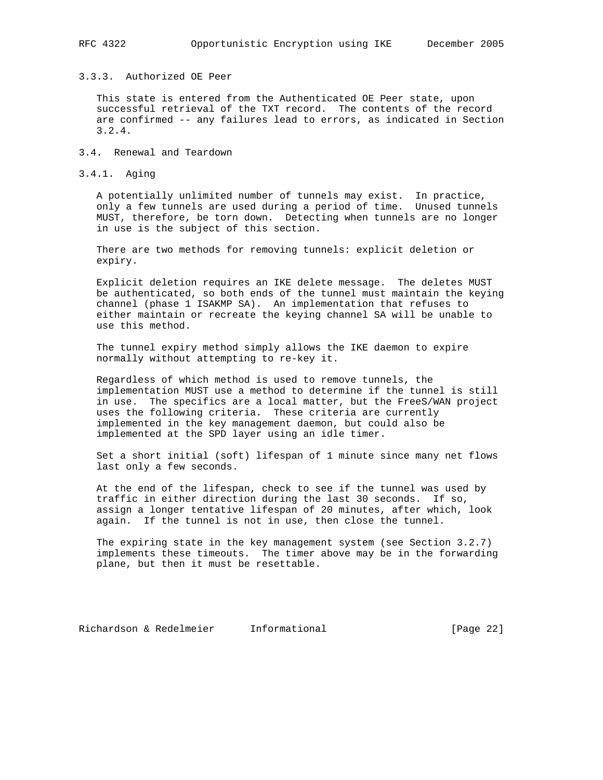## 3.3.3. Authorized OE Peer

 This state is entered from the Authenticated OE Peer state, upon successful retrieval of the TXT record. The contents of the record are confirmed -- any failures lead to errors, as indicated in Section 3.2.4.

- 3.4. Renewal and Teardown
- 3.4.1. Aging

 A potentially unlimited number of tunnels may exist. In practice, only a few tunnels are used during a period of time. Unused tunnels MUST, therefore, be torn down. Detecting when tunnels are no longer in use is the subject of this section.

 There are two methods for removing tunnels: explicit deletion or expiry.

 Explicit deletion requires an IKE delete message. The deletes MUST be authenticated, so both ends of the tunnel must maintain the keying channel (phase 1 ISAKMP SA). An implementation that refuses to either maintain or recreate the keying channel SA will be unable to use this method.

 The tunnel expiry method simply allows the IKE daemon to expire normally without attempting to re-key it.

 Regardless of which method is used to remove tunnels, the implementation MUST use a method to determine if the tunnel is still in use. The specifics are a local matter, but the FreeS/WAN project uses the following criteria. These criteria are currently implemented in the key management daemon, but could also be implemented at the SPD layer using an idle timer.

 Set a short initial (soft) lifespan of 1 minute since many net flows last only a few seconds.

 At the end of the lifespan, check to see if the tunnel was used by traffic in either direction during the last 30 seconds. If so, assign a longer tentative lifespan of 20 minutes, after which, look again. If the tunnel is not in use, then close the tunnel.

 The expiring state in the key management system (see Section 3.2.7) implements these timeouts. The timer above may be in the forwarding plane, but then it must be resettable.

Richardson & Redelmeier Informational [Page 22]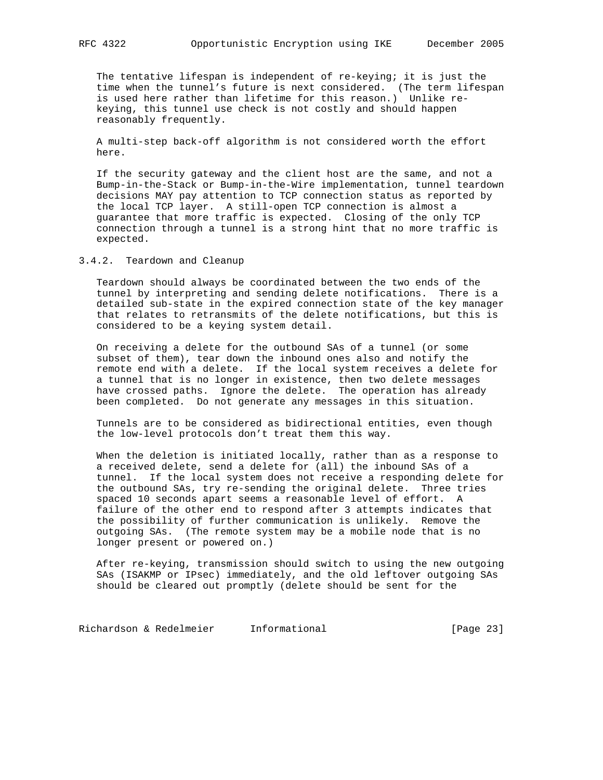The tentative lifespan is independent of re-keying; it is just the time when the tunnel's future is next considered. (The term lifespan is used here rather than lifetime for this reason.) Unlike re keying, this tunnel use check is not costly and should happen reasonably frequently.

 A multi-step back-off algorithm is not considered worth the effort here.

 If the security gateway and the client host are the same, and not a Bump-in-the-Stack or Bump-in-the-Wire implementation, tunnel teardown decisions MAY pay attention to TCP connection status as reported by the local TCP layer. A still-open TCP connection is almost a guarantee that more traffic is expected. Closing of the only TCP connection through a tunnel is a strong hint that no more traffic is expected.

3.4.2. Teardown and Cleanup

 Teardown should always be coordinated between the two ends of the tunnel by interpreting and sending delete notifications. There is a detailed sub-state in the expired connection state of the key manager that relates to retransmits of the delete notifications, but this is considered to be a keying system detail.

 On receiving a delete for the outbound SAs of a tunnel (or some subset of them), tear down the inbound ones also and notify the remote end with a delete. If the local system receives a delete for a tunnel that is no longer in existence, then two delete messages have crossed paths. Ignore the delete. The operation has already been completed. Do not generate any messages in this situation.

 Tunnels are to be considered as bidirectional entities, even though the low-level protocols don't treat them this way.

 When the deletion is initiated locally, rather than as a response to a received delete, send a delete for (all) the inbound SAs of a tunnel. If the local system does not receive a responding delete for the outbound SAs, try re-sending the original delete. Three tries spaced 10 seconds apart seems a reasonable level of effort. A failure of the other end to respond after 3 attempts indicates that the possibility of further communication is unlikely. Remove the outgoing SAs. (The remote system may be a mobile node that is no longer present or powered on.)

 After re-keying, transmission should switch to using the new outgoing SAs (ISAKMP or IPsec) immediately, and the old leftover outgoing SAs should be cleared out promptly (delete should be sent for the

Richardson & Redelmeier Informational (Page 23)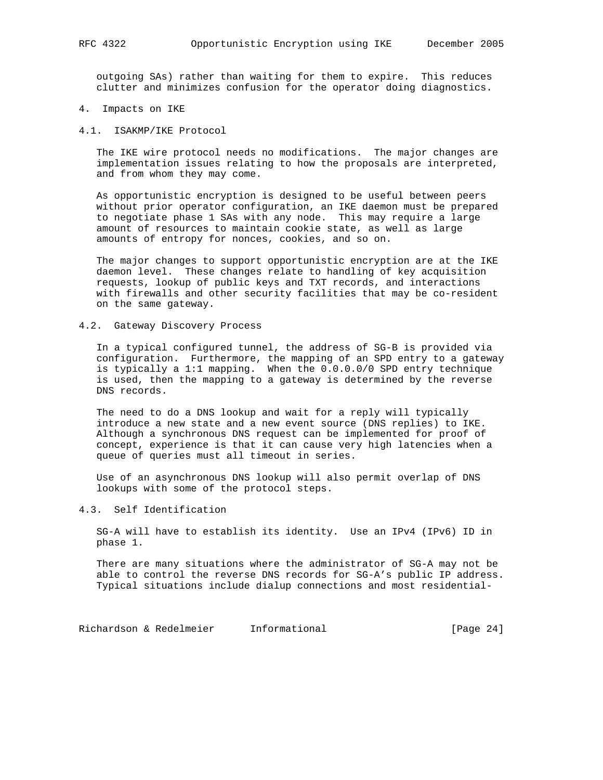outgoing SAs) rather than waiting for them to expire. This reduces clutter and minimizes confusion for the operator doing diagnostics.

- 4. Impacts on IKE
- 4.1. ISAKMP/IKE Protocol

 The IKE wire protocol needs no modifications. The major changes are implementation issues relating to how the proposals are interpreted, and from whom they may come.

 As opportunistic encryption is designed to be useful between peers without prior operator configuration, an IKE daemon must be prepared to negotiate phase 1 SAs with any node. This may require a large amount of resources to maintain cookie state, as well as large amounts of entropy for nonces, cookies, and so on.

 The major changes to support opportunistic encryption are at the IKE daemon level. These changes relate to handling of key acquisition requests, lookup of public keys and TXT records, and interactions with firewalls and other security facilities that may be co-resident on the same gateway.

#### 4.2. Gateway Discovery Process

 In a typical configured tunnel, the address of SG-B is provided via configuration. Furthermore, the mapping of an SPD entry to a gateway is typically a 1:1 mapping. When the 0.0.0.0/0 SPD entry technique is used, then the mapping to a gateway is determined by the reverse DNS records.

 The need to do a DNS lookup and wait for a reply will typically introduce a new state and a new event source (DNS replies) to IKE. Although a synchronous DNS request can be implemented for proof of concept, experience is that it can cause very high latencies when a queue of queries must all timeout in series.

 Use of an asynchronous DNS lookup will also permit overlap of DNS lookups with some of the protocol steps.

## 4.3. Self Identification

 SG-A will have to establish its identity. Use an IPv4 (IPv6) ID in phase 1.

 There are many situations where the administrator of SG-A may not be able to control the reverse DNS records for SG-A's public IP address. Typical situations include dialup connections and most residential-

Richardson & Redelmeier Informational (Page 24)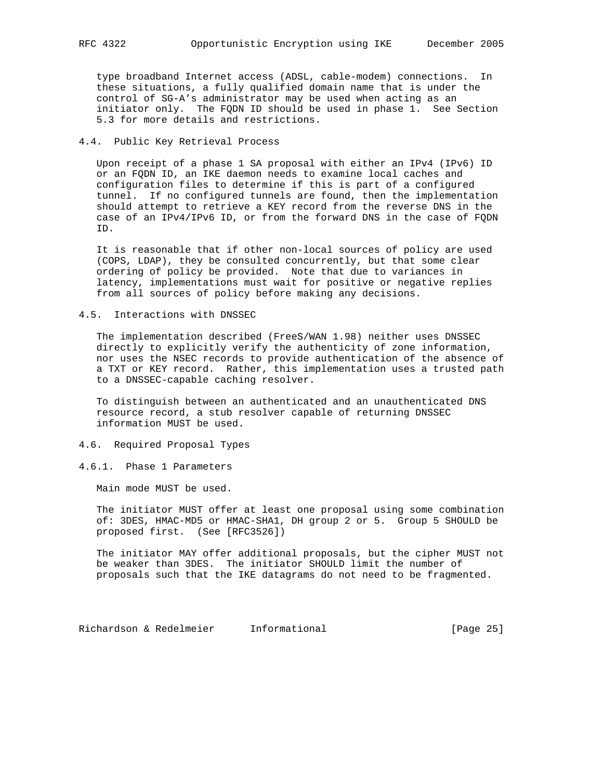type broadband Internet access (ADSL, cable-modem) connections. In these situations, a fully qualified domain name that is under the control of SG-A's administrator may be used when acting as an initiator only. The FQDN ID should be used in phase 1. See Section 5.3 for more details and restrictions.

## 4.4. Public Key Retrieval Process

 Upon receipt of a phase 1 SA proposal with either an IPv4 (IPv6) ID or an FQDN ID, an IKE daemon needs to examine local caches and configuration files to determine if this is part of a configured tunnel. If no configured tunnels are found, then the implementation should attempt to retrieve a KEY record from the reverse DNS in the case of an IPv4/IPv6 ID, or from the forward DNS in the case of FQDN ID.

 It is reasonable that if other non-local sources of policy are used (COPS, LDAP), they be consulted concurrently, but that some clear ordering of policy be provided. Note that due to variances in latency, implementations must wait for positive or negative replies from all sources of policy before making any decisions.

4.5. Interactions with DNSSEC

 The implementation described (FreeS/WAN 1.98) neither uses DNSSEC directly to explicitly verify the authenticity of zone information, nor uses the NSEC records to provide authentication of the absence of a TXT or KEY record. Rather, this implementation uses a trusted path to a DNSSEC-capable caching resolver.

 To distinguish between an authenticated and an unauthenticated DNS resource record, a stub resolver capable of returning DNSSEC information MUST be used.

## 4.6. Required Proposal Types

4.6.1. Phase 1 Parameters

Main mode MUST be used.

 The initiator MUST offer at least one proposal using some combination of: 3DES, HMAC-MD5 or HMAC-SHA1, DH group 2 or 5. Group 5 SHOULD be proposed first. (See [RFC3526])

 The initiator MAY offer additional proposals, but the cipher MUST not be weaker than 3DES. The initiator SHOULD limit the number of proposals such that the IKE datagrams do not need to be fragmented.

Richardson & Redelmeier Informational (Page 25)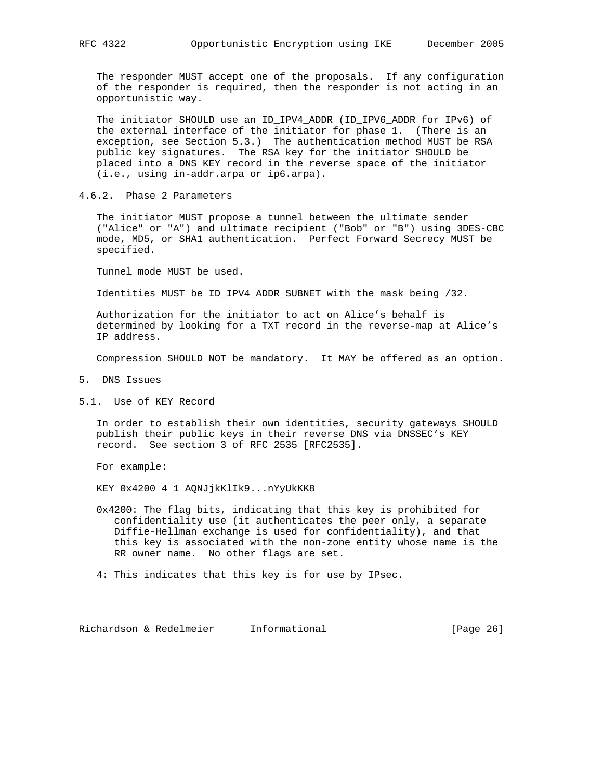The responder MUST accept one of the proposals. If any configuration of the responder is required, then the responder is not acting in an opportunistic way.

 The initiator SHOULD use an ID\_IPV4\_ADDR (ID\_IPV6\_ADDR for IPv6) of the external interface of the initiator for phase 1. (There is an exception, see Section 5.3.) The authentication method MUST be RSA public key signatures. The RSA key for the initiator SHOULD be placed into a DNS KEY record in the reverse space of the initiator (i.e., using in-addr.arpa or ip6.arpa).

4.6.2. Phase 2 Parameters

 The initiator MUST propose a tunnel between the ultimate sender ("Alice" or "A") and ultimate recipient ("Bob" or "B") using 3DES-CBC mode, MD5, or SHA1 authentication. Perfect Forward Secrecy MUST be specified.

Tunnel mode MUST be used.

Identities MUST be ID\_IPV4\_ADDR\_SUBNET with the mask being /32.

 Authorization for the initiator to act on Alice's behalf is determined by looking for a TXT record in the reverse-map at Alice's IP address.

Compression SHOULD NOT be mandatory. It MAY be offered as an option.

- 5. DNS Issues
- 5.1. Use of KEY Record

 In order to establish their own identities, security gateways SHOULD publish their public keys in their reverse DNS via DNSSEC's KEY record. See section 3 of RFC 2535 [RFC2535].

For example:

KEY 0x4200 4 1 AQNJjkKlIk9...nYyUkKK8

 0x4200: The flag bits, indicating that this key is prohibited for confidentiality use (it authenticates the peer only, a separate Diffie-Hellman exchange is used for confidentiality), and that this key is associated with the non-zone entity whose name is the RR owner name. No other flags are set.

4: This indicates that this key is for use by IPsec.

Richardson & Redelmeier Informational [Page 26]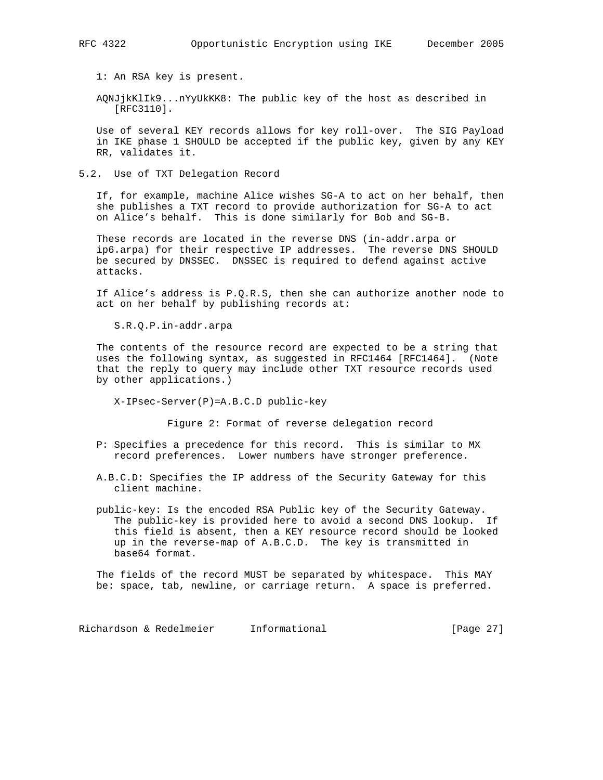1: An RSA key is present.

 AQNJjkKlIk9...nYyUkKK8: The public key of the host as described in [RFC3110].

 Use of several KEY records allows for key roll-over. The SIG Payload in IKE phase 1 SHOULD be accepted if the public key, given by any KEY RR, validates it.

5.2. Use of TXT Delegation Record

 If, for example, machine Alice wishes SG-A to act on her behalf, then she publishes a TXT record to provide authorization for SG-A to act on Alice's behalf. This is done similarly for Bob and SG-B.

 These records are located in the reverse DNS (in-addr.arpa or ip6.arpa) for their respective IP addresses. The reverse DNS SHOULD be secured by DNSSEC. DNSSEC is required to defend against active attacks.

 If Alice's address is P.Q.R.S, then she can authorize another node to act on her behalf by publishing records at:

S.R.Q.P.in-addr.arpa

 The contents of the resource record are expected to be a string that uses the following syntax, as suggested in RFC1464 [RFC1464]. (Note that the reply to query may include other TXT resource records used by other applications.)

X-IPsec-Server(P)=A.B.C.D public-key

Figure 2: Format of reverse delegation record

- P: Specifies a precedence for this record. This is similar to MX record preferences. Lower numbers have stronger preference.
- A.B.C.D: Specifies the IP address of the Security Gateway for this client machine.
- public-key: Is the encoded RSA Public key of the Security Gateway. The public-key is provided here to avoid a second DNS lookup. If this field is absent, then a KEY resource record should be looked up in the reverse-map of A.B.C.D. The key is transmitted in base64 format.

 The fields of the record MUST be separated by whitespace. This MAY be: space, tab, newline, or carriage return. A space is preferred.

Richardson & Redelmeier Informational (Page 27)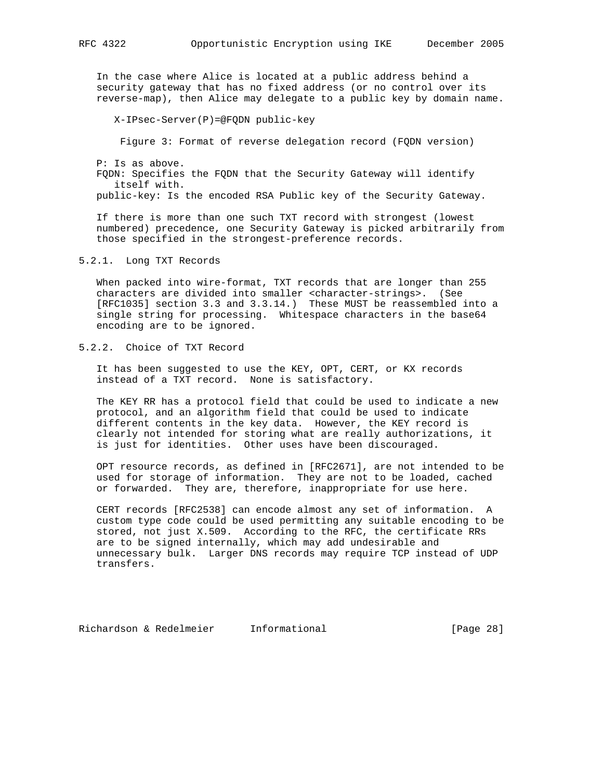In the case where Alice is located at a public address behind a security gateway that has no fixed address (or no control over its reverse-map), then Alice may delegate to a public key by domain name.

X-IPsec-Server(P)=@FQDN public-key

Figure 3: Format of reverse delegation record (FQDN version)

 P: Is as above. FQDN: Specifies the FQDN that the Security Gateway will identify itself with. public-key: Is the encoded RSA Public key of the Security Gateway.

 If there is more than one such TXT record with strongest (lowest numbered) precedence, one Security Gateway is picked arbitrarily from those specified in the strongest-preference records.

#### 5.2.1. Long TXT Records

 When packed into wire-format, TXT records that are longer than 255 characters are divided into smaller <character-strings>. (See [RFC1035] section 3.3 and 3.3.14.) These MUST be reassembled into a single string for processing. Whitespace characters in the base64 encoding are to be ignored.

## 5.2.2. Choice of TXT Record

 It has been suggested to use the KEY, OPT, CERT, or KX records instead of a TXT record. None is satisfactory.

 The KEY RR has a protocol field that could be used to indicate a new protocol, and an algorithm field that could be used to indicate different contents in the key data. However, the KEY record is clearly not intended for storing what are really authorizations, it is just for identities. Other uses have been discouraged.

 OPT resource records, as defined in [RFC2671], are not intended to be used for storage of information. They are not to be loaded, cached or forwarded. They are, therefore, inappropriate for use here.

 CERT records [RFC2538] can encode almost any set of information. A custom type code could be used permitting any suitable encoding to be stored, not just X.509. According to the RFC, the certificate RRs are to be signed internally, which may add undesirable and unnecessary bulk. Larger DNS records may require TCP instead of UDP transfers.

Richardson & Redelmeier Informational [Page 28]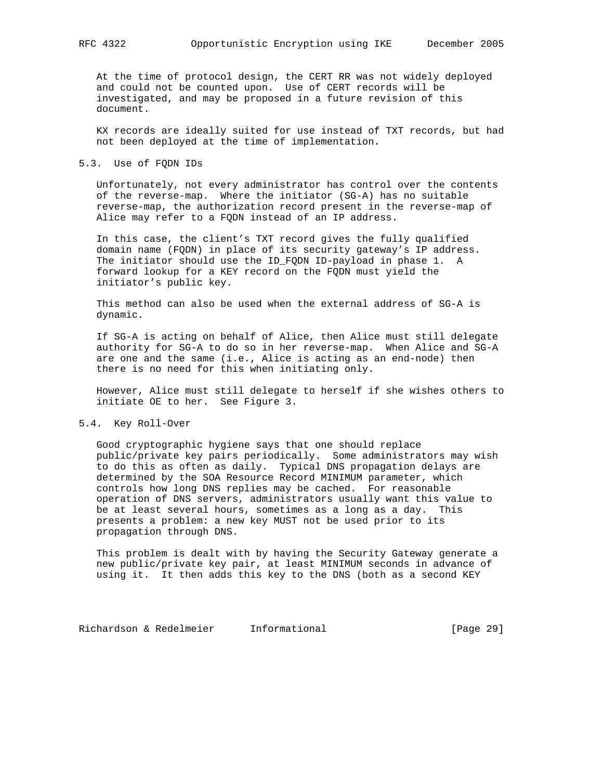At the time of protocol design, the CERT RR was not widely deployed and could not be counted upon. Use of CERT records will be investigated, and may be proposed in a future revision of this document.

 KX records are ideally suited for use instead of TXT records, but had not been deployed at the time of implementation.

## 5.3. Use of FQDN IDs

 Unfortunately, not every administrator has control over the contents of the reverse-map. Where the initiator (SG-A) has no suitable reverse-map, the authorization record present in the reverse-map of Alice may refer to a FQDN instead of an IP address.

 In this case, the client's TXT record gives the fully qualified domain name (FQDN) in place of its security gateway's IP address. The initiator should use the ID\_FQDN ID-payload in phase 1. A forward lookup for a KEY record on the FQDN must yield the initiator's public key.

 This method can also be used when the external address of SG-A is dynamic.

 If SG-A is acting on behalf of Alice, then Alice must still delegate authority for SG-A to do so in her reverse-map. When Alice and SG-A are one and the same (i.e., Alice is acting as an end-node) then there is no need for this when initiating only.

 However, Alice must still delegate to herself if she wishes others to initiate OE to her. See Figure 3.

## 5.4. Key Roll-Over

 Good cryptographic hygiene says that one should replace public/private key pairs periodically. Some administrators may wish to do this as often as daily. Typical DNS propagation delays are determined by the SOA Resource Record MINIMUM parameter, which controls how long DNS replies may be cached. For reasonable operation of DNS servers, administrators usually want this value to be at least several hours, sometimes as a long as a day. This presents a problem: a new key MUST not be used prior to its propagation through DNS.

 This problem is dealt with by having the Security Gateway generate a new public/private key pair, at least MINIMUM seconds in advance of using it. It then adds this key to the DNS (both as a second KEY

Richardson & Redelmeier Informational (Page 29)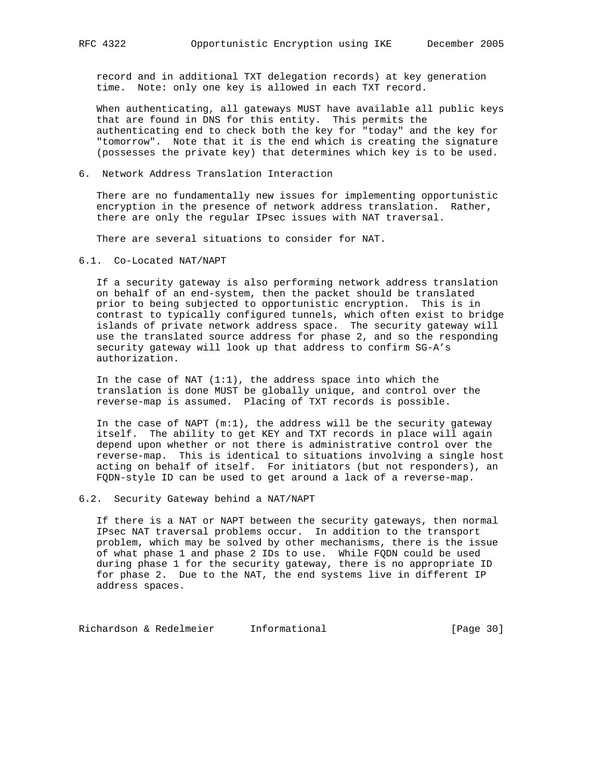record and in additional TXT delegation records) at key generation time. Note: only one key is allowed in each TXT record.

 When authenticating, all gateways MUST have available all public keys that are found in DNS for this entity. This permits the authenticating end to check both the key for "today" and the key for "tomorrow". Note that it is the end which is creating the signature (possesses the private key) that determines which key is to be used.

## 6. Network Address Translation Interaction

 There are no fundamentally new issues for implementing opportunistic encryption in the presence of network address translation. Rather, there are only the regular IPsec issues with NAT traversal.

There are several situations to consider for NAT.

6.1. Co-Located NAT/NAPT

 If a security gateway is also performing network address translation on behalf of an end-system, then the packet should be translated prior to being subjected to opportunistic encryption. This is in contrast to typically configured tunnels, which often exist to bridge islands of private network address space. The security gateway will use the translated source address for phase 2, and so the responding security gateway will look up that address to confirm SG-A's authorization.

In the case of NAT  $(1:1)$ , the address space into which the translation is done MUST be globally unique, and control over the reverse-map is assumed. Placing of TXT records is possible.

In the case of NAPT  $(m:1)$ , the address will be the security gateway itself. The ability to get KEY and TXT records in place will again depend upon whether or not there is administrative control over the reverse-map. This is identical to situations involving a single host acting on behalf of itself. For initiators (but not responders), an FQDN-style ID can be used to get around a lack of a reverse-map.

## 6.2. Security Gateway behind a NAT/NAPT

 If there is a NAT or NAPT between the security gateways, then normal IPsec NAT traversal problems occur. In addition to the transport problem, which may be solved by other mechanisms, there is the issue of what phase 1 and phase 2 IDs to use. While FQDN could be used during phase 1 for the security gateway, there is no appropriate ID for phase 2. Due to the NAT, the end systems live in different IP address spaces.

Richardson & Redelmeier Informational (Page 30)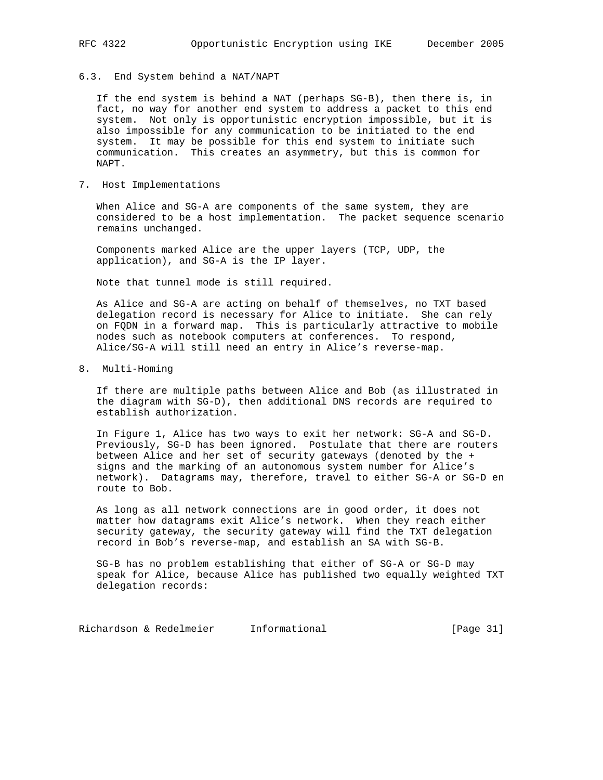6.3. End System behind a NAT/NAPT

 If the end system is behind a NAT (perhaps SG-B), then there is, in fact, no way for another end system to address a packet to this end system. Not only is opportunistic encryption impossible, but it is also impossible for any communication to be initiated to the end system. It may be possible for this end system to initiate such communication. This creates an asymmetry, but this is common for NAPT.

7. Host Implementations

 When Alice and SG-A are components of the same system, they are considered to be a host implementation. The packet sequence scenario remains unchanged.

 Components marked Alice are the upper layers (TCP, UDP, the application), and SG-A is the IP layer.

Note that tunnel mode is still required.

 As Alice and SG-A are acting on behalf of themselves, no TXT based delegation record is necessary for Alice to initiate. She can rely on FQDN in a forward map. This is particularly attractive to mobile nodes such as notebook computers at conferences. To respond, Alice/SG-A will still need an entry in Alice's reverse-map.

8. Multi-Homing

 If there are multiple paths between Alice and Bob (as illustrated in the diagram with SG-D), then additional DNS records are required to establish authorization.

 In Figure 1, Alice has two ways to exit her network: SG-A and SG-D. Previously, SG-D has been ignored. Postulate that there are routers between Alice and her set of security gateways (denoted by the + signs and the marking of an autonomous system number for Alice's network). Datagrams may, therefore, travel to either SG-A or SG-D en route to Bob.

 As long as all network connections are in good order, it does not matter how datagrams exit Alice's network. When they reach either security gateway, the security gateway will find the TXT delegation record in Bob's reverse-map, and establish an SA with SG-B.

 SG-B has no problem establishing that either of SG-A or SG-D may speak for Alice, because Alice has published two equally weighted TXT delegation records:

Richardson & Redelmeier Informational [Page 31]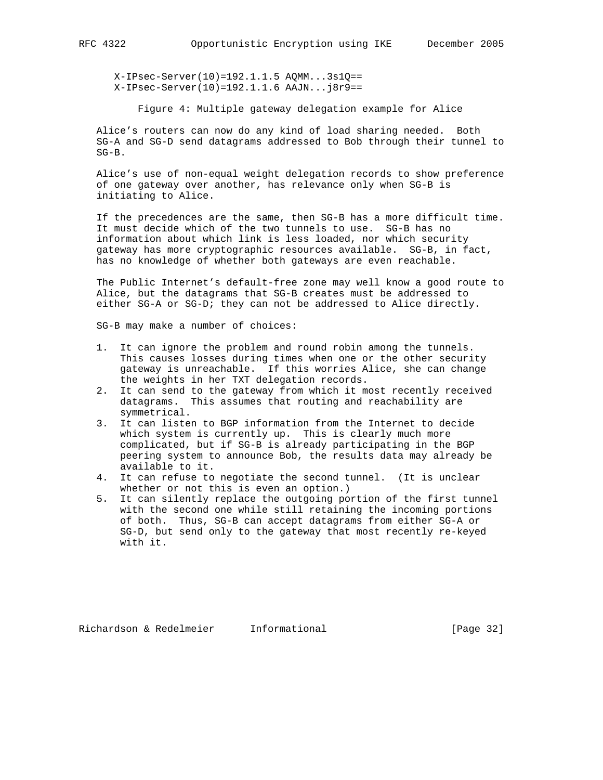X-IPsec-Server(10)=192.1.1.5 AQMM...3s1Q== X-IPsec-Server(10)=192.1.1.6 AAJN...j8r9==

Figure 4: Multiple gateway delegation example for Alice

 Alice's routers can now do any kind of load sharing needed. Both SG-A and SG-D send datagrams addressed to Bob through their tunnel to SG-B.

 Alice's use of non-equal weight delegation records to show preference of one gateway over another, has relevance only when SG-B is initiating to Alice.

 If the precedences are the same, then SG-B has a more difficult time. It must decide which of the two tunnels to use. SG-B has no information about which link is less loaded, nor which security gateway has more cryptographic resources available. SG-B, in fact, has no knowledge of whether both gateways are even reachable.

 The Public Internet's default-free zone may well know a good route to Alice, but the datagrams that SG-B creates must be addressed to either SG-A or SG-D; they can not be addressed to Alice directly.

SG-B may make a number of choices:

- 1. It can ignore the problem and round robin among the tunnels. This causes losses during times when one or the other security gateway is unreachable. If this worries Alice, she can change the weights in her TXT delegation records.
- 2. It can send to the gateway from which it most recently received datagrams. This assumes that routing and reachability are symmetrical.
- 3. It can listen to BGP information from the Internet to decide which system is currently up. This is clearly much more complicated, but if SG-B is already participating in the BGP peering system to announce Bob, the results data may already be available to it.
- 4. It can refuse to negotiate the second tunnel. (It is unclear whether or not this is even an option.)
- 5. It can silently replace the outgoing portion of the first tunnel with the second one while still retaining the incoming portions of both. Thus, SG-B can accept datagrams from either SG-A or SG-D, but send only to the gateway that most recently re-keyed with it.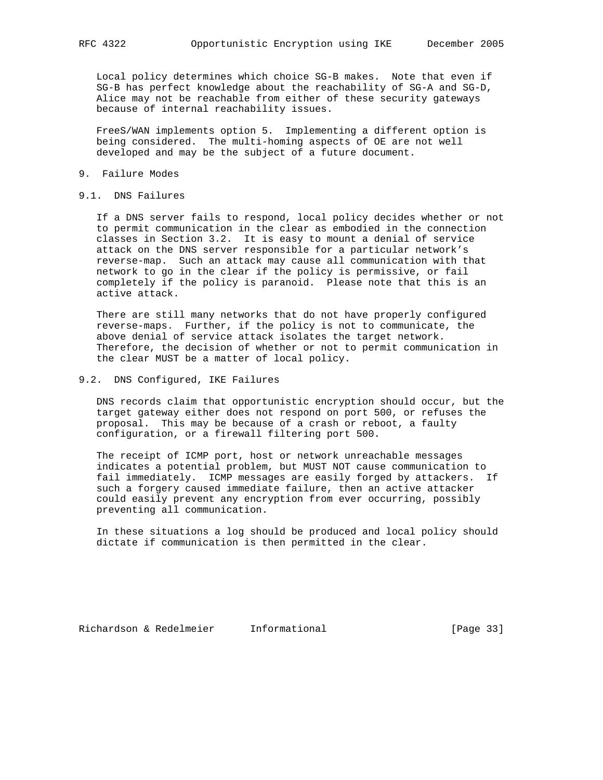Local policy determines which choice SG-B makes. Note that even if SG-B has perfect knowledge about the reachability of SG-A and SG-D, Alice may not be reachable from either of these security gateways because of internal reachability issues.

 FreeS/WAN implements option 5. Implementing a different option is being considered. The multi-homing aspects of OE are not well developed and may be the subject of a future document.

#### 9. Failure Modes

## 9.1. DNS Failures

 If a DNS server fails to respond, local policy decides whether or not to permit communication in the clear as embodied in the connection classes in Section 3.2. It is easy to mount a denial of service attack on the DNS server responsible for a particular network's reverse-map. Such an attack may cause all communication with that network to go in the clear if the policy is permissive, or fail completely if the policy is paranoid. Please note that this is an active attack.

 There are still many networks that do not have properly configured reverse-maps. Further, if the policy is not to communicate, the above denial of service attack isolates the target network. Therefore, the decision of whether or not to permit communication in the clear MUST be a matter of local policy.

## 9.2. DNS Configured, IKE Failures

 DNS records claim that opportunistic encryption should occur, but the target gateway either does not respond on port 500, or refuses the proposal. This may be because of a crash or reboot, a faulty configuration, or a firewall filtering port 500.

 The receipt of ICMP port, host or network unreachable messages indicates a potential problem, but MUST NOT cause communication to fail immediately. ICMP messages are easily forged by attackers. If such a forgery caused immediate failure, then an active attacker could easily prevent any encryption from ever occurring, possibly preventing all communication.

 In these situations a log should be produced and local policy should dictate if communication is then permitted in the clear.

Richardson & Redelmeier Informational [Page 33]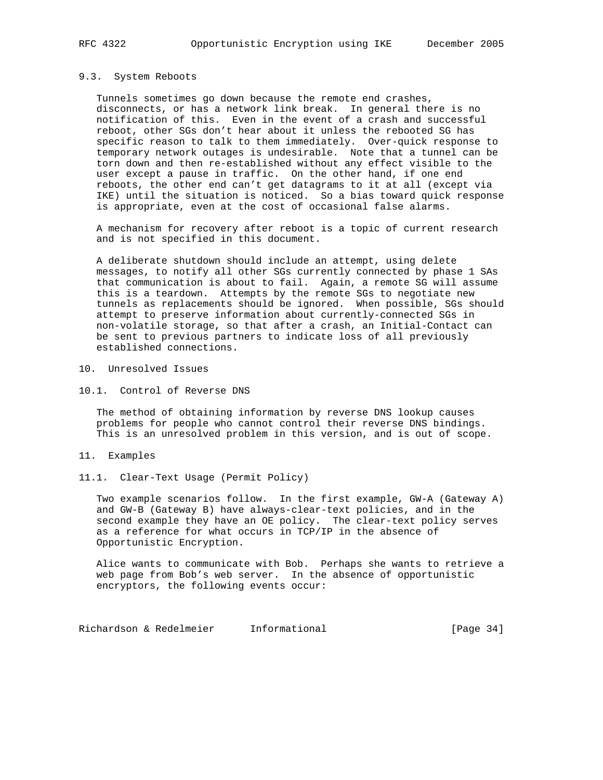## 9.3. System Reboots

 Tunnels sometimes go down because the remote end crashes, disconnects, or has a network link break. In general there is no notification of this. Even in the event of a crash and successful reboot, other SGs don't hear about it unless the rebooted SG has specific reason to talk to them immediately. Over-quick response to temporary network outages is undesirable. Note that a tunnel can be torn down and then re-established without any effect visible to the user except a pause in traffic. On the other hand, if one end reboots, the other end can't get datagrams to it at all (except via IKE) until the situation is noticed. So a bias toward quick response is appropriate, even at the cost of occasional false alarms.

 A mechanism for recovery after reboot is a topic of current research and is not specified in this document.

 A deliberate shutdown should include an attempt, using delete messages, to notify all other SGs currently connected by phase 1 SAs that communication is about to fail. Again, a remote SG will assume this is a teardown. Attempts by the remote SGs to negotiate new tunnels as replacements should be ignored. When possible, SGs should attempt to preserve information about currently-connected SGs in non-volatile storage, so that after a crash, an Initial-Contact can be sent to previous partners to indicate loss of all previously established connections.

#### 10. Unresolved Issues

10.1. Control of Reverse DNS

 The method of obtaining information by reverse DNS lookup causes problems for people who cannot control their reverse DNS bindings. This is an unresolved problem in this version, and is out of scope.

- 11. Examples
- 11.1. Clear-Text Usage (Permit Policy)

 Two example scenarios follow. In the first example, GW-A (Gateway A) and GW-B (Gateway B) have always-clear-text policies, and in the second example they have an OE policy. The clear-text policy serves as a reference for what occurs in TCP/IP in the absence of Opportunistic Encryption.

 Alice wants to communicate with Bob. Perhaps she wants to retrieve a web page from Bob's web server. In the absence of opportunistic encryptors, the following events occur:

Richardson & Redelmeier Informational [Page 34]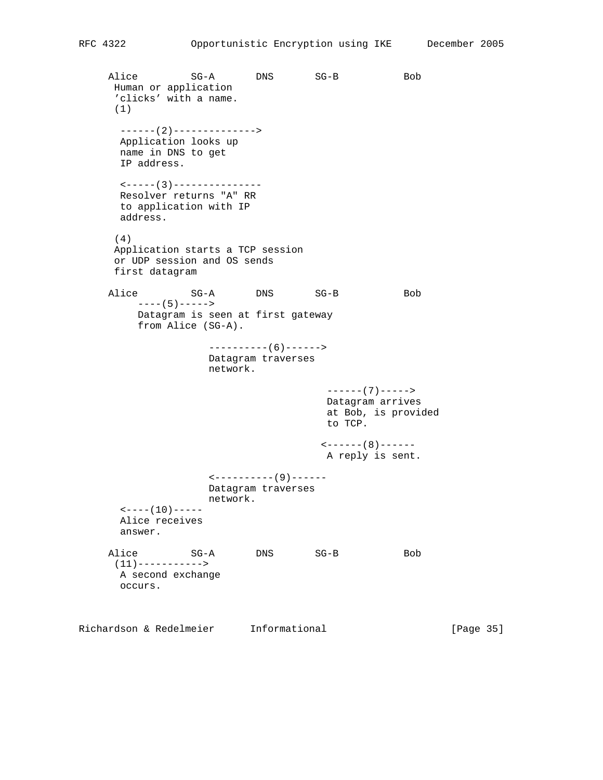Alice SG-A DNS SG-B Bob Human or application 'clicks' with a name. (1) ------(2)--------------> Application looks up name in DNS to get IP address. <-----(3)--------------- Resolver returns "A" RR to application with IP address. (4) Application starts a TCP session or UDP session and OS sends first datagram Alice SG-A DNS SG-B Bob ----(5)-----> Datagram is seen at first gateway from Alice (SG-A). ----------(6)------> Datagram traverses network. ------(7)-----> Datagram arrives at Bob, is provided to TCP.  $\leftarrow$  ------ (8) ------ A reply is sent. <----------(9)------ Datagram traverses network.  $---(10)---$  Alice receives answer. Alice SG-A DNS SG-B Bob  $(11)$  -----------> A second exchange occurs. Richardson & Redelmeier Informational [Page 35]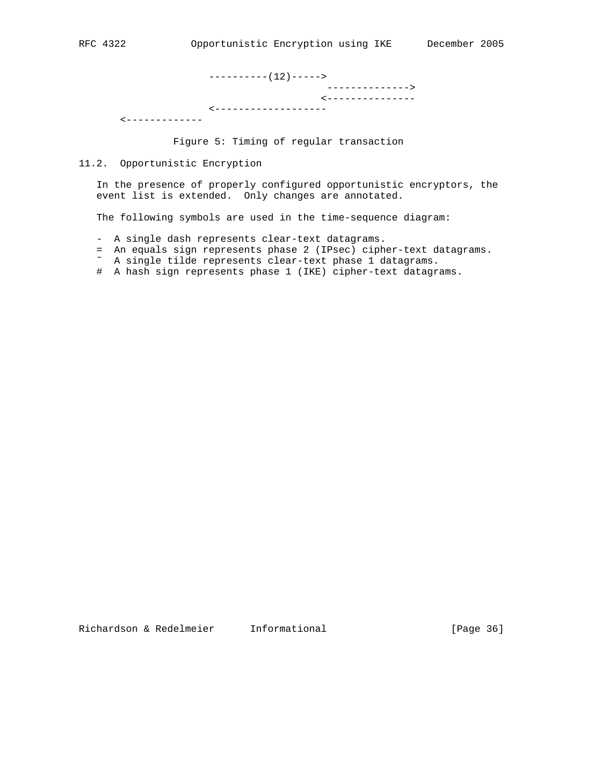----------(12)-----> --------------> <--------------- <------------------- <-------------

Figure 5: Timing of regular transaction

11.2. Opportunistic Encryption

 In the presence of properly configured opportunistic encryptors, the event list is extended. Only changes are annotated.

The following symbols are used in the time-sequence diagram:

- A single dash represents clear-text datagrams.
- = An equals sign represents phase 2 (IPsec) cipher-text datagrams.
- ˜ A single tilde represents clear-text phase 1 datagrams.
	- # A hash sign represents phase 1 (IKE) cipher-text datagrams.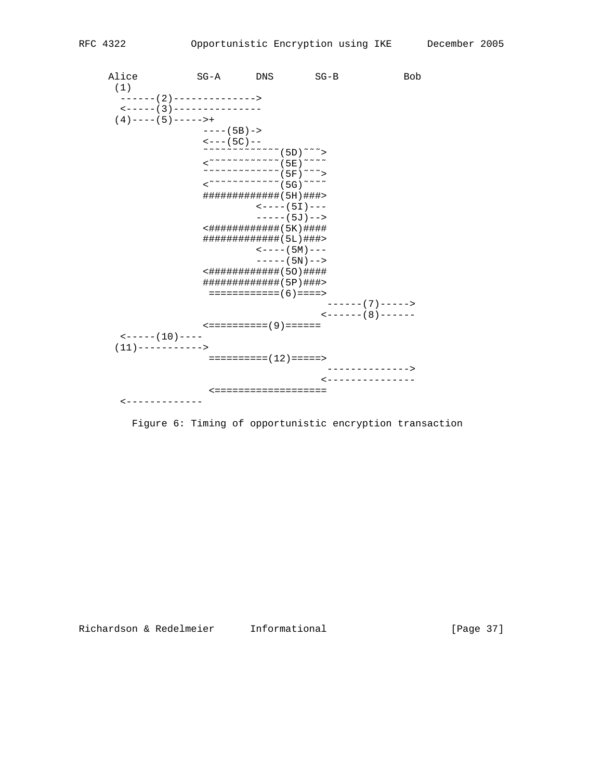| Alice<br>(1)                                              | $SG - A$                    | <b>DNS</b>                                                                                                                          | $SG-B$                                 | <b>Bob</b>  |  |  |  |  |
|-----------------------------------------------------------|-----------------------------|-------------------------------------------------------------------------------------------------------------------------------------|----------------------------------------|-------------|--|--|--|--|
| ------ (2)--------------><br><----- ( 3 ) --------------- |                             |                                                                                                                                     |                                        |             |  |  |  |  |
| $(4)$ ---- $(5)$ ------+                                  |                             |                                                                                                                                     |                                        |             |  |  |  |  |
|                                                           | $---(5B) - >$               |                                                                                                                                     |                                        |             |  |  |  |  |
|                                                           | $\leftarrow$ $- - (5C) - -$ |                                                                                                                                     |                                        |             |  |  |  |  |
|                                                           |                             | $<$ $~\sim$ $~\sim$ $~\sim$ $~\sim$ $~\sim$ $~\sim$ $~\sim$ $~\sim$ $~\sim$ $~\sim$ $~\sim$ $~\sim$ $~\sim$ $~\sim$ $~\sim$ $~\sim$ |                                        |             |  |  |  |  |
|                                                           |                             |                                                                                                                                     |                                        |             |  |  |  |  |
|                                                           |                             |                                                                                                                                     |                                        |             |  |  |  |  |
|                                                           |                             | ############## ( 5H ) ###>                                                                                                          |                                        |             |  |  |  |  |
|                                                           |                             |                                                                                                                                     | $\leftarrow$ $ -$ (51) $ -$            |             |  |  |  |  |
|                                                           |                             |                                                                                                                                     | ----- (5J) -->                         |             |  |  |  |  |
|                                                           |                             | <############(5K)####                                                                                                               |                                        |             |  |  |  |  |
|                                                           |                             | ############## (5L) ###>                                                                                                            |                                        |             |  |  |  |  |
|                                                           |                             |                                                                                                                                     | $\leftarrow$ $ -$ ( 5M ) $ -$          |             |  |  |  |  |
|                                                           |                             |                                                                                                                                     | $---(5N)---$                           |             |  |  |  |  |
|                                                           |                             | <############ (50) ####                                                                                                             |                                        |             |  |  |  |  |
|                                                           |                             | ############## ( 5P ) ###>                                                                                                          |                                        |             |  |  |  |  |
|                                                           |                             | ============ ( 6 ) ====>                                                                                                            |                                        |             |  |  |  |  |
|                                                           |                             |                                                                                                                                     | ------ ( 7 ) ----->                    |             |  |  |  |  |
|                                                           |                             |                                                                                                                                     | $\leftarrow$ - - - - - (8) - - - - - - |             |  |  |  |  |
|                                                           |                             | <========== ( 9 ) ======                                                                                                            |                                        |             |  |  |  |  |
| $\leftarrow$ - - - - - (10) - - - -                       |                             |                                                                                                                                     |                                        |             |  |  |  |  |
| (11)----------->                                          |                             |                                                                                                                                     |                                        |             |  |  |  |  |
|                                                           |                             | $=========(12) == ==->$                                                                                                             |                                        |             |  |  |  |  |
|                                                           |                             |                                                                                                                                     |                                        | ----------> |  |  |  |  |
|                                                           |                             |                                                                                                                                     | ---------------                        |             |  |  |  |  |
|                                                           |                             | ================                                                                                                                    |                                        |             |  |  |  |  |
| <------                                                   |                             |                                                                                                                                     |                                        |             |  |  |  |  |

Figure 6: Timing of opportunistic encryption transaction

[Page 37]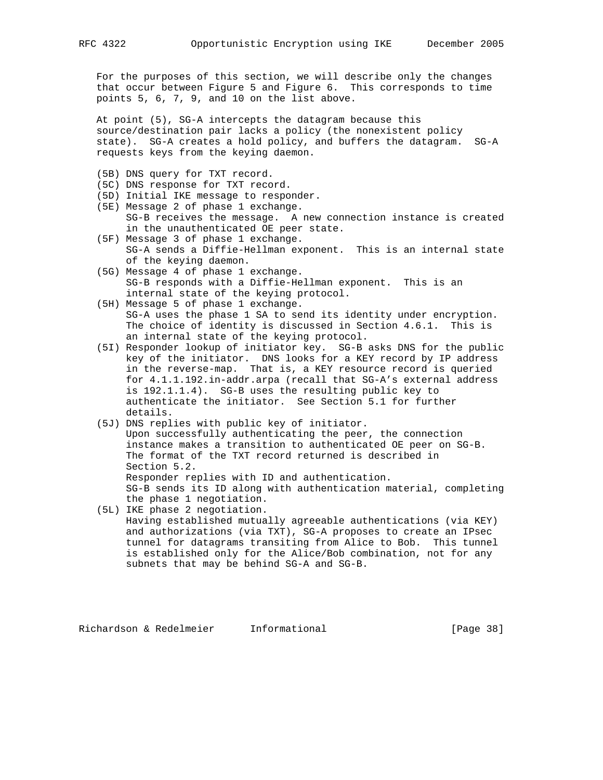For the purposes of this section, we will describe only the changes that occur between Figure 5 and Figure 6. This corresponds to time points 5, 6, 7, 9, and 10 on the list above.

 At point (5), SG-A intercepts the datagram because this source/destination pair lacks a policy (the nonexistent policy state). SG-A creates a hold policy, and buffers the datagram. SG-A requests keys from the keying daemon.

- (5B) DNS query for TXT record.
- (5C) DNS response for TXT record.
- (5D) Initial IKE message to responder.
- (5E) Message 2 of phase 1 exchange. SG-B receives the message. A new connection instance is created in the unauthenticated OE peer state.
- (5F) Message 3 of phase 1 exchange. SG-A sends a Diffie-Hellman exponent. This is an internal state of the keying daemon.
- (5G) Message 4 of phase 1 exchange. SG-B responds with a Diffie-Hellman exponent. This is an internal state of the keying protocol.
- (5H) Message 5 of phase 1 exchange. SG-A uses the phase 1 SA to send its identity under encryption. The choice of identity is discussed in Section 4.6.1. This is an internal state of the keying protocol.
- (5I) Responder lookup of initiator key. SG-B asks DNS for the public key of the initiator. DNS looks for a KEY record by IP address in the reverse-map. That is, a KEY resource record is queried for 4.1.1.192.in-addr.arpa (recall that SG-A's external address is 192.1.1.4). SG-B uses the resulting public key to authenticate the initiator. See Section 5.1 for further details.
- (5J) DNS replies with public key of initiator. Upon successfully authenticating the peer, the connection instance makes a transition to authenticated OE peer on SG-B. The format of the TXT record returned is described in Section 5.2. Responder replies with ID and authentication. SG-B sends its ID along with authentication material, completing the phase 1 negotiation.
- (5L) IKE phase 2 negotiation. Having established mutually agreeable authentications (via KEY) and authorizations (via TXT), SG-A proposes to create an IPsec

 tunnel for datagrams transiting from Alice to Bob. This tunnel is established only for the Alice/Bob combination, not for any subnets that may be behind SG-A and SG-B.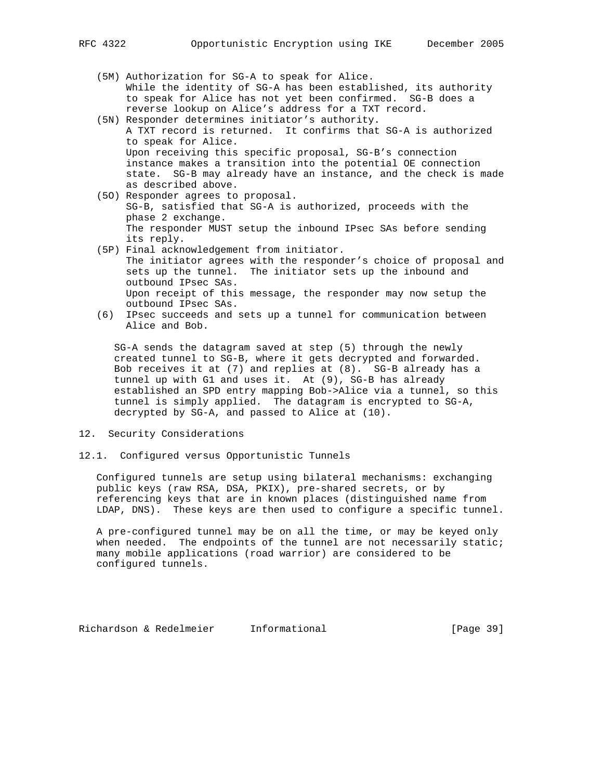(5M) Authorization for SG-A to speak for Alice. While the identity of SG-A has been established, its authority to speak for Alice has not yet been confirmed. SG-B does a reverse lookup on Alice's address for a TXT record.

- (5N) Responder determines initiator's authority. A TXT record is returned. It confirms that SG-A is authorized to speak for Alice. Upon receiving this specific proposal, SG-B's connection instance makes a transition into the potential OE connection state. SG-B may already have an instance, and the check is made as described above.
- (5O) Responder agrees to proposal. SG-B, satisfied that SG-A is authorized, proceeds with the phase 2 exchange. The responder MUST setup the inbound IPsec SAs before sending its reply.
- (5P) Final acknowledgement from initiator. The initiator agrees with the responder's choice of proposal and sets up the tunnel. The initiator sets up the inbound and outbound IPsec SAs. Upon receipt of this message, the responder may now setup the outbound IPsec SAs.
- (6) IPsec succeeds and sets up a tunnel for communication between Alice and Bob.

 SG-A sends the datagram saved at step (5) through the newly created tunnel to SG-B, where it gets decrypted and forwarded. Bob receives it at (7) and replies at (8). SG-B already has a tunnel up with G1 and uses it. At (9), SG-B has already established an SPD entry mapping Bob->Alice via a tunnel, so this tunnel is simply applied. The datagram is encrypted to SG-A, decrypted by SG-A, and passed to Alice at (10).

- 12. Security Considerations
- 12.1. Configured versus Opportunistic Tunnels

 Configured tunnels are setup using bilateral mechanisms: exchanging public keys (raw RSA, DSA, PKIX), pre-shared secrets, or by referencing keys that are in known places (distinguished name from LDAP, DNS). These keys are then used to configure a specific tunnel.

 A pre-configured tunnel may be on all the time, or may be keyed only when needed. The endpoints of the tunnel are not necessarily static; many mobile applications (road warrior) are considered to be configured tunnels.

Richardson & Redelmeier Informational [Page 39]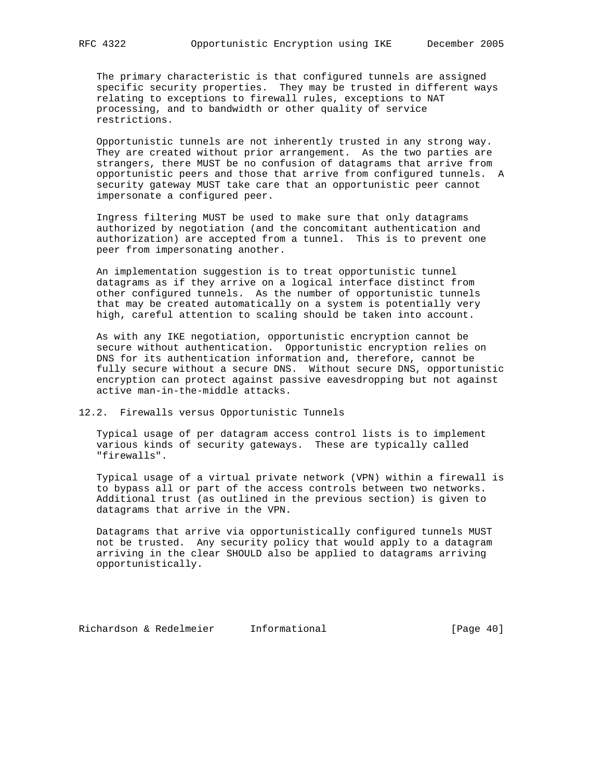The primary characteristic is that configured tunnels are assigned specific security properties. They may be trusted in different ways relating to exceptions to firewall rules, exceptions to NAT processing, and to bandwidth or other quality of service restrictions.

 Opportunistic tunnels are not inherently trusted in any strong way. They are created without prior arrangement. As the two parties are strangers, there MUST be no confusion of datagrams that arrive from opportunistic peers and those that arrive from configured tunnels. A security gateway MUST take care that an opportunistic peer cannot impersonate a configured peer.

 Ingress filtering MUST be used to make sure that only datagrams authorized by negotiation (and the concomitant authentication and authorization) are accepted from a tunnel. This is to prevent one peer from impersonating another.

 An implementation suggestion is to treat opportunistic tunnel datagrams as if they arrive on a logical interface distinct from other configured tunnels. As the number of opportunistic tunnels that may be created automatically on a system is potentially very high, careful attention to scaling should be taken into account.

 As with any IKE negotiation, opportunistic encryption cannot be secure without authentication. Opportunistic encryption relies on DNS for its authentication information and, therefore, cannot be fully secure without a secure DNS. Without secure DNS, opportunistic encryption can protect against passive eavesdropping but not against active man-in-the-middle attacks.

12.2. Firewalls versus Opportunistic Tunnels

 Typical usage of per datagram access control lists is to implement various kinds of security gateways. These are typically called "firewalls".

 Typical usage of a virtual private network (VPN) within a firewall is to bypass all or part of the access controls between two networks. Additional trust (as outlined in the previous section) is given to datagrams that arrive in the VPN.

 Datagrams that arrive via opportunistically configured tunnels MUST not be trusted. Any security policy that would apply to a datagram arriving in the clear SHOULD also be applied to datagrams arriving opportunistically.

Richardson & Redelmeier Informational [Page 40]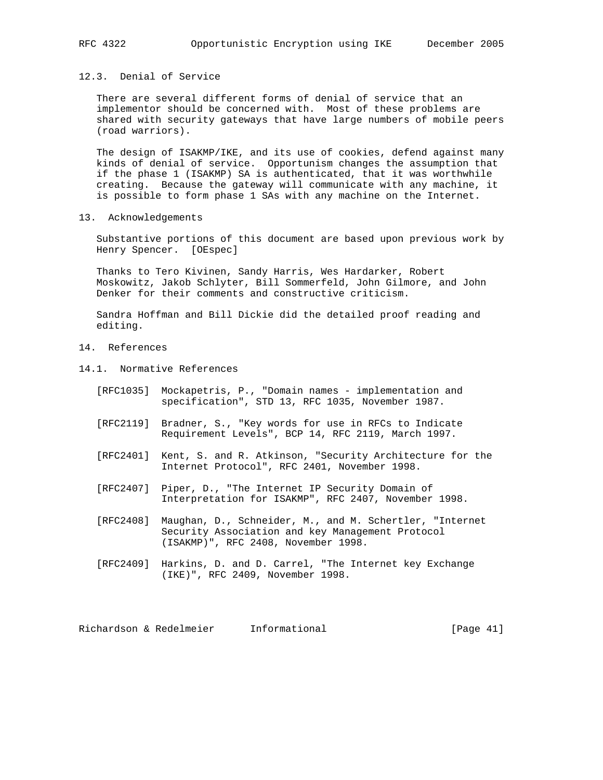## 12.3. Denial of Service

 There are several different forms of denial of service that an implementor should be concerned with. Most of these problems are shared with security gateways that have large numbers of mobile peers (road warriors).

 The design of ISAKMP/IKE, and its use of cookies, defend against many kinds of denial of service. Opportunism changes the assumption that if the phase 1 (ISAKMP) SA is authenticated, that it was worthwhile creating. Because the gateway will communicate with any machine, it is possible to form phase 1 SAs with any machine on the Internet.

13. Acknowledgements

 Substantive portions of this document are based upon previous work by Henry Spencer. [OEspec]

 Thanks to Tero Kivinen, Sandy Harris, Wes Hardarker, Robert Moskowitz, Jakob Schlyter, Bill Sommerfeld, John Gilmore, and John Denker for their comments and constructive criticism.

 Sandra Hoffman and Bill Dickie did the detailed proof reading and editing.

- 14. References
- 14.1. Normative References
	- [RFC1035] Mockapetris, P., "Domain names implementation and specification", STD 13, RFC 1035, November 1987.
	- [RFC2119] Bradner, S., "Key words for use in RFCs to Indicate Requirement Levels", BCP 14, RFC 2119, March 1997.
	- [RFC2401] Kent, S. and R. Atkinson, "Security Architecture for the Internet Protocol", RFC 2401, November 1998.
	- [RFC2407] Piper, D., "The Internet IP Security Domain of Interpretation for ISAKMP", RFC 2407, November 1998.
	- [RFC2408] Maughan, D., Schneider, M., and M. Schertler, "Internet Security Association and key Management Protocol (ISAKMP)", RFC 2408, November 1998.
	- [RFC2409] Harkins, D. and D. Carrel, "The Internet key Exchange (IKE)", RFC 2409, November 1998.

Richardson & Redelmeier Informational [Page 41]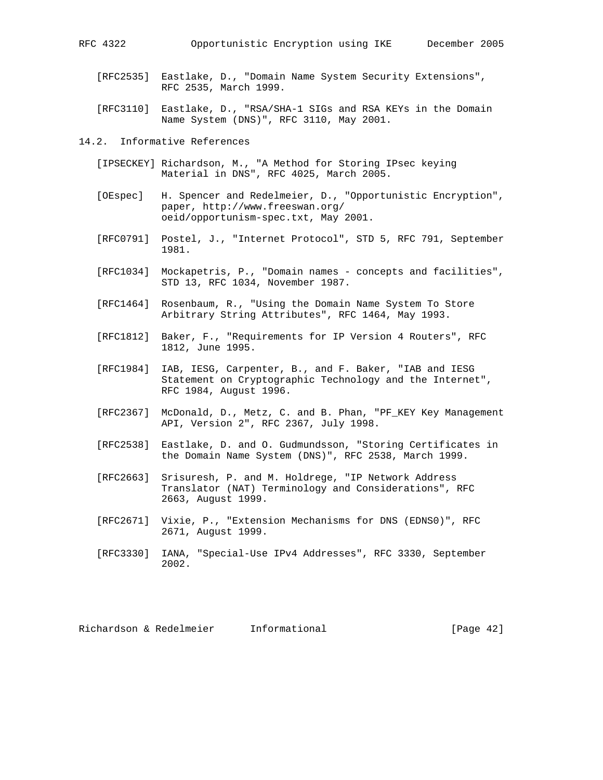- 
- [RFC2535] Eastlake, D., "Domain Name System Security Extensions", RFC 2535, March 1999.
- [RFC3110] Eastlake, D., "RSA/SHA-1 SIGs and RSA KEYs in the Domain Name System (DNS)", RFC 3110, May 2001.
- 14.2. Informative References
	- [IPSECKEY] Richardson, M., "A Method for Storing IPsec keying Material in DNS", RFC 4025, March 2005.
	- [OEspec] H. Spencer and Redelmeier, D., "Opportunistic Encryption", paper, http://www.freeswan.org/ oeid/opportunism-spec.txt, May 2001.
	- [RFC0791] Postel, J., "Internet Protocol", STD 5, RFC 791, September 1981.
	- [RFC1034] Mockapetris, P., "Domain names concepts and facilities", STD 13, RFC 1034, November 1987.
	- [RFC1464] Rosenbaum, R., "Using the Domain Name System To Store Arbitrary String Attributes", RFC 1464, May 1993.
	- [RFC1812] Baker, F., "Requirements for IP Version 4 Routers", RFC 1812, June 1995.
	- [RFC1984] IAB, IESG, Carpenter, B., and F. Baker, "IAB and IESG Statement on Cryptographic Technology and the Internet", RFC 1984, August 1996.
	- [RFC2367] McDonald, D., Metz, C. and B. Phan, "PF\_KEY Key Management API, Version 2", RFC 2367, July 1998.
	- [RFC2538] Eastlake, D. and O. Gudmundsson, "Storing Certificates in the Domain Name System (DNS)", RFC 2538, March 1999.
	- [RFC2663] Srisuresh, P. and M. Holdrege, "IP Network Address Translator (NAT) Terminology and Considerations", RFC 2663, August 1999.
	- [RFC2671] Vixie, P., "Extension Mechanisms for DNS (EDNS0)", RFC 2671, August 1999.
	- [RFC3330] IANA, "Special-Use IPv4 Addresses", RFC 3330, September 2002.

Richardson & Redelmeier Informational [Page 42]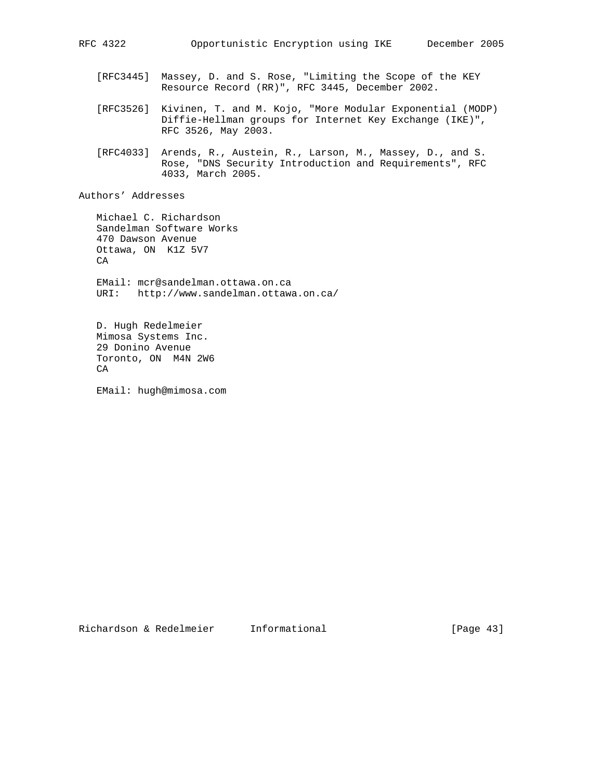- [RFC3445] Massey, D. and S. Rose, "Limiting the Scope of the KEY Resource Record (RR)", RFC 3445, December 2002.
- [RFC3526] Kivinen, T. and M. Kojo, "More Modular Exponential (MODP) Diffie-Hellman groups for Internet Key Exchange (IKE)", RFC 3526, May 2003.
- [RFC4033] Arends, R., Austein, R., Larson, M., Massey, D., and S. Rose, "DNS Security Introduction and Requirements", RFC 4033, March 2005.

Authors' Addresses

 Michael C. Richardson Sandelman Software Works 470 Dawson Avenue Ottawa, ON K1Z 5V7 CA EMail: mcr@sandelman.ottawa.on.ca URI: http://www.sandelman.ottawa.on.ca/ D. Hugh Redelmeier Mimosa Systems Inc.

 29 Donino Avenue Toronto, ON M4N 2W6 CA

EMail: hugh@mimosa.com